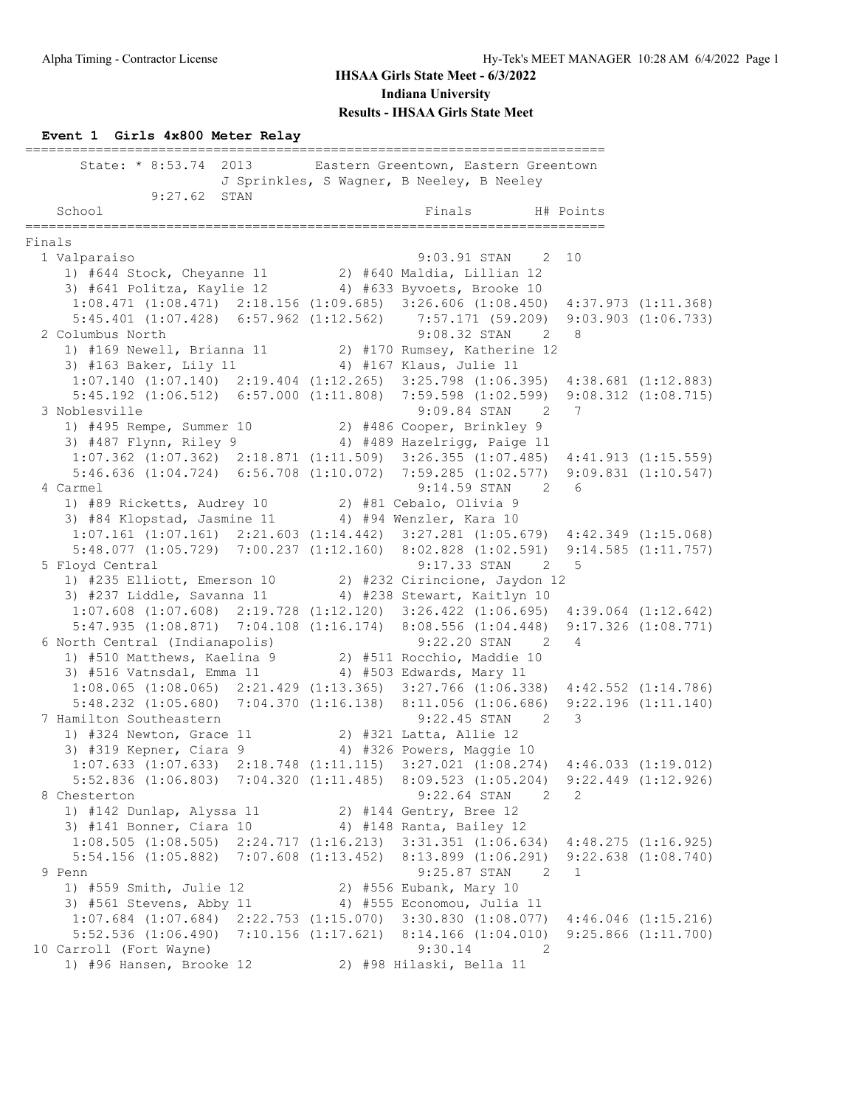### **Event 1 Girls 4x800 Meter Relay**

|        | State: * 8:53.74 2013 Eastern Greentown, Eastern Greentown                                                                                                                         | J Sprinkles, S Wagner, B Neeley, B Neeley |   |                         |
|--------|------------------------------------------------------------------------------------------------------------------------------------------------------------------------------------|-------------------------------------------|---|-------------------------|
|        | 9:27.62 STAN                                                                                                                                                                       |                                           |   |                         |
|        | School                                                                                                                                                                             | Finals<br>H# Points                       |   |                         |
| Finals |                                                                                                                                                                                    |                                           |   |                         |
|        | 1 Valparaiso                                                                                                                                                                       | 9:03.91 STAN 2 10                         |   |                         |
|        | 1) $#644$ Stock, Cheyanne 11 2) $#640$ Maldia, Lillian 12                                                                                                                          |                                           |   |                         |
|        | 3) #641 Politza, Kaylie 12 4) #633 Byvoets, Brooke 10                                                                                                                              |                                           |   |                         |
|        | 1:08.471 (1:08.471) 2:18.156 (1:09.685) 3:26.606 (1:08.450) 4:37.973 (1:11.368)                                                                                                    |                                           |   |                         |
|        | $5:45.401~~(1:07.428)~~6:57.962~~(1:12.562)~~7:57.171~~(59.209)~~9:03.903~~(1:06.733)$                                                                                             |                                           |   |                         |
|        | 2 Columbus North                                                                                                                                                                   | $9:08.32$ STAN 2 8                        |   |                         |
|        | 1) #169 Newell, Brianna 11 2) #170 Rumsey, Katherine 12                                                                                                                            |                                           |   |                         |
|        | 3) #163 Baker, Lily 11 4) #167 Klaus, Julie 11                                                                                                                                     |                                           |   |                         |
|        | $1:07.140$ (1:07.140) $2:19.404$ (1:12.265) $3:25.798$ (1:06.395) $4:38.681$ (1:12.883)                                                                                            |                                           |   |                         |
|        | 5:45.192 (1:06.512) 6:57.000 (1:11.808) 7:59.598 (1:02.599) 9:08.312 (1:08.715)                                                                                                    |                                           |   |                         |
|        | 3 Noblesville                                                                                                                                                                      | $9:09.84$ STAN 2                          | 7 |                         |
|        | 9.09.04 SIAN 2<br>1) #495 Rempe, Summer 10 2) #486 Cooper, Brinkley 9                                                                                                              |                                           |   |                         |
|        | 3) #487 Flynn, Riley 9 4) #489 Hazelrigg, Paige 11                                                                                                                                 |                                           |   |                         |
|        | $1:07.362$ (1:07.362) $2:18.871$ (1:11.509) $3:26.355$ (1:07.485) $4:41.913$ (1:15.559)                                                                                            |                                           |   |                         |
|        | 5:46.636 (1:04.724) 6:56.708 (1:10.072) 7:59.285 (1:02.577) 9:09.831 (1:10.547)                                                                                                    |                                           |   |                         |
|        | 4 Carmel                                                                                                                                                                           | 9:14.59 STAN 2 6                          |   |                         |
|        | 1) #89 Ricketts, Audrey 10 2) #81 Cebalo, Olivia 9                                                                                                                                 |                                           |   |                         |
|        | 3) #84 Klopstad, Jasmine 11 4) #94 Wenzler, Kara 10                                                                                                                                |                                           |   |                         |
|        | $1:07.161 (1:07.161) 2:21.603 (1:14.442) 3:27.281 (1:05.679) 4:42.349 (1:15.068)$                                                                                                  |                                           |   |                         |
|        | 5:48.077 (1:05.729) 7:00.237 (1:12.160) 8:02.828 (1:02.591) 9:14.585 (1:11.757)                                                                                                    |                                           |   |                         |
|        | 5 Floyd Central<br>9:17.33 STAN 2 5<br>1) #235 Elliott, Emerson 10 2) #232 Cirincione, Jaydon 12<br>3) #237 Liddle, Savanna 11 4) #238 Stewart, Kaitlyn 10                         |                                           |   |                         |
|        |                                                                                                                                                                                    |                                           |   |                         |
|        |                                                                                                                                                                                    |                                           |   |                         |
|        | $1:07.608$ $(1:07.608)$ $2:19.728$ $(1:12.120)$ $3:26.422$ $(1:06.695)$ $4:39.064$ $(1:12.642)$<br>5:47.935 (1:08.871) 7:04.108 (1:16.174) 8:08.556 (1:04.448) 9:17.326 (1:08.771) |                                           |   |                         |
|        |                                                                                                                                                                                    | 2 4                                       |   |                         |
|        | 9:22.20 STAN 9:22.20 STAN 9:22.20 STAN 9:22.20 STAN 9:22.20 STAN 9:22.20 STAN 9:22.20 STAN 9:10                                                                                    |                                           |   |                         |
|        | 3) #516 Vatnsdal, Emma 11 4) #503 Edwards, Mary 11                                                                                                                                 |                                           |   |                         |
|        | 1:08.065 (1:08.065) 2:21.429 (1:13.365) 3:27.766 (1:06.338) 4:42.552 (1:14.786)                                                                                                    |                                           |   |                         |
|        | 5:48.232 (1:05.680) 7:04.370 (1:16.138) 8:11.056 (1:06.686) 9:22.196 (1:11.140)                                                                                                    |                                           |   |                         |
|        | 7 Hamilton Southeastern                                                                                                                                                            | $9:22.45$ STAN 2                          | 3 |                         |
|        | 1) #324 Newton, Grace 11 2) #321 Latta, Allie 12                                                                                                                                   |                                           |   |                         |
|        | 3) #319 Kepner, Ciara 9 4) #326 Powers, Maggie 10                                                                                                                                  |                                           |   |                         |
|        | $1:07.633$ $(1:07.633)$ $2:18.748$ $(1:11.115)$ $3:27.021$ $(1:08.274)$ $4:46.033$ $(1:19.012)$                                                                                    |                                           |   |                         |
|        | 5:52.836 (1:06.803) 7:04.320 (1:11.485) 8:09.523 (1:05.204) 9:22.449 (1:12.926)                                                                                                    |                                           |   |                         |
|        | 8 Chesterton                                                                                                                                                                       | 9:22.64 STAN<br>2                         | 2 |                         |
|        | 1) #142 Dunlap, Alyssa 11 2) #144 Gentry, Bree 12                                                                                                                                  |                                           |   |                         |
|        | 3) #141 Bonner, Ciara 10                                                                                                                                                           | 4) #148 Ranta, Bailey 12                  |   |                         |
|        | $1:08.505$ $(1:08.505)$ $2:24.717$ $(1:16.213)$ $3:31.351$ $(1:06.634)$ $4:48.275$ $(1:16.925)$                                                                                    |                                           |   |                         |
|        | 5:54.156 (1:05.882) 7:07.608 (1:13.452) 8:13.899 (1:06.291)                                                                                                                        |                                           |   | $9:22.638$ $(1:08.740)$ |
|        | 9 Penn                                                                                                                                                                             | 9:25.87 STAN<br>$\overline{2}$            | 1 |                         |
|        | 1) #559 Smith, Julie 12                                                                                                                                                            | 2) #556 Eubank, Mary 10                   |   |                         |
|        | 3) #561 Stevens, Abby 11                                                                                                                                                           | 4) #555 Economou, Julia 11                |   |                         |
|        | $1:07.684$ $(1:07.684)$ $2:22.753$ $(1:15.070)$ $3:30.830$ $(1:08.077)$                                                                                                            |                                           |   | $4:46.046$ $(1:15.216)$ |
|        | $5:52.536$ $(1:06.490)$ $7:10.156$ $(1:17.621)$ $8:14.166$ $(1:04.010)$                                                                                                            |                                           |   | $9:25.866$ $(1:11.700)$ |
|        | 10 Carroll (Fort Wayne)                                                                                                                                                            | 9:30.14<br>2                              |   |                         |
|        | 1) #96 Hansen, Brooke 12                                                                                                                                                           | 2) #98 Hilaski, Bella 11                  |   |                         |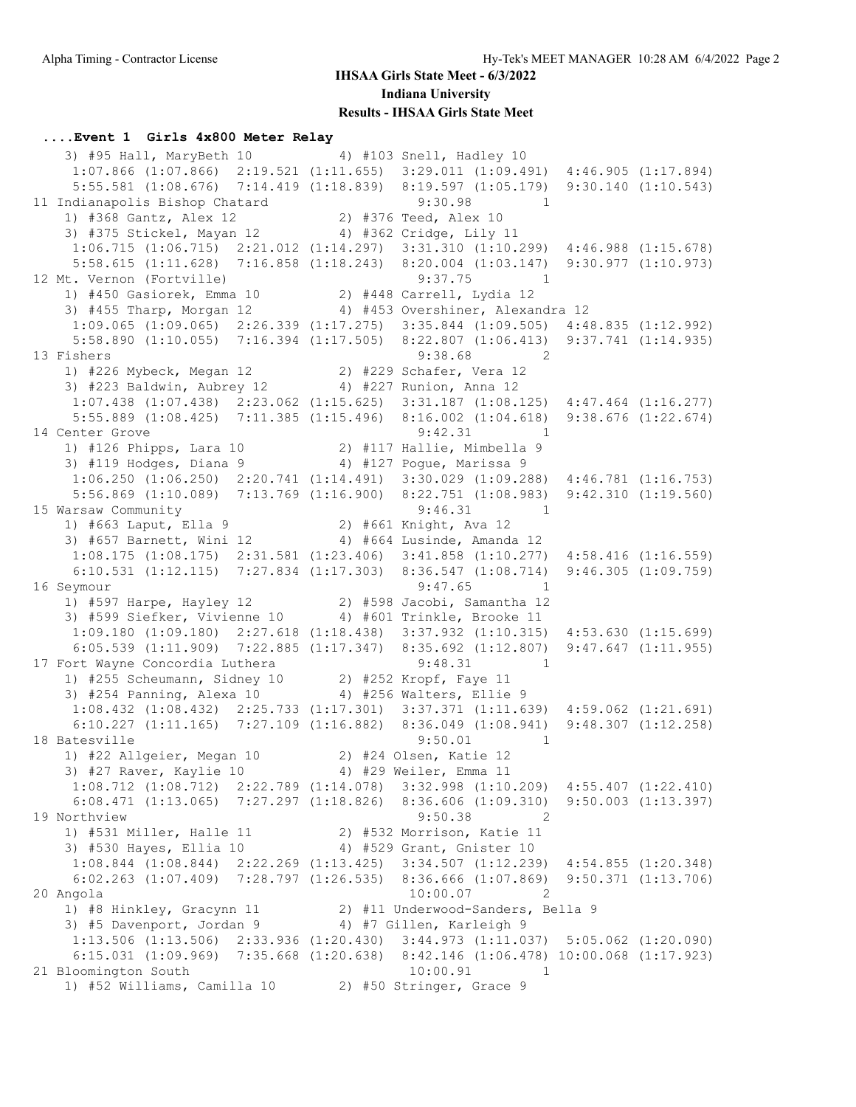#### **....Event 1 Girls 4x800 Meter Relay**

3) #95 Hall, MaryBeth 10 4) #103 Snell, Hadley 10 1:07.866 (1:07.866) 2:19.521 (1:11.655) 3:29.011 (1:09.491) 4:46.905 (1:17.894) 5:55.581 (1:08.676) 7:14.419 (1:18.839) 8:19.597 (1:05.179) 9:30.140 (1:10.543) 11 Indianapolis Bishop Chatard 9:30.98 1 1) #368 Gantz, Alex 12 2) #376 Teed, Alex 10 3) #375 Stickel, Mayan 12 4) #362 Cridge, Lily 11 1:06.715 (1:06.715) 2:21.012 (1:14.297) 3:31.310 (1:10.299) 4:46.988 (1:15.678) 5:58.615 (1:11.628) 7:16.858 (1:18.243) 8:20.004 (1:03.147) 9:30.977 (1:10.973) 12 Mt. Vernon (Fortville) 9:37.75 1 1) #450 Gasiorek, Emma 10 2) #448 Carrell, Lydia 12 3) #455 Tharp, Morgan 12 4) #453 Overshiner, Alexandra 12 1:09.065 (1:09.065) 2:26.339 (1:17.275) 3:35.844 (1:09.505) 4:48.835 (1:12.992) 5:58.890 (1:10.055) 7:16.394 (1:17.505) 8:22.807 (1:06.413) 9:37.741 (1:14.935) 13 Fishers 9:38.68 2 1) #226 Mybeck, Megan 12 2) #229 Schafer, Vera 12 3) #223 Baldwin, Aubrey 12 4) #227 Runion, Anna 12 1:07.438 (1:07.438) 2:23.062 (1:15.625) 3:31.187 (1:08.125) 4:47.464 (1:16.277) 5:55.889 (1:08.425) 7:11.385 (1:15.496) 8:16.002 (1:04.618) 9:38.676 (1:22.674) 14 Center Grove 2:42.31 1 1) #126 Phipps, Lara 10 2) #117 Hallie, Mimbella 9 3) #119 Hodges, Diana 9 4) #127 Pogue, Marissa 9 1:06.250 (1:06.250) 2:20.741 (1:14.491) 3:30.029 (1:09.288) 4:46.781 (1:16.753) 5:56.869 (1:10.089) 7:13.769 (1:16.900) 8:22.751 (1:08.983) 9:42.310 (1:19.560) 15 Warsaw Community 9:46.31 1 1) #663 Laput, Ella 9 2) #661 Knight, Ava 12 3) #657 Barnett, Wini 12 4) #664 Lusinde, Amanda 12 1:08.175 (1:08.175) 2:31.581 (1:23.406) 3:41.858 (1:10.277) 4:58.416 (1:16.559) 6:10.531 (1:12.115) 7:27.834 (1:17.303) 8:36.547 (1:08.714) 9:46.305 (1:09.759) 16 Seymour 9:47.65 1 1) #597 Harpe, Hayley 12 2) #598 Jacobi, Samantha 12 3) #599 Siefker, Vivienne 10 4) #601 Trinkle, Brooke 11 1:09.180 (1:09.180) 2:27.618 (1:18.438) 3:37.932 (1:10.315) 4:53.630 (1:15.699) 6:05.539 (1:11.909) 7:22.885 (1:17.347) 8:35.692 (1:12.807) 9:47.647 (1:11.955) 17 Fort Wayne Concordia Luthera 1 9:48.31 1 1) #255 Scheumann, Sidney 10 2) #252 Kropf, Faye 11 3) #254 Panning, Alexa 10 4) #256 Walters, Ellie 9 1:08.432 (1:08.432) 2:25.733 (1:17.301) 3:37.371 (1:11.639) 4:59.062 (1:21.691) 6:10.227 (1:11.165) 7:27.109 (1:16.882) 8:36.049 (1:08.941) 9:48.307 (1:12.258) 18 Batesville 18 and 19:50.01 1 1) #22 Allgeier, Megan 10 2) #24 Olsen, Katie 12 3) #27 Raver, Kaylie 10 4) #29 Weiler, Emma 11 1:08.712 (1:08.712) 2:22.789 (1:14.078) 3:32.998 (1:10.209) 4:55.407 (1:22.410) 6:08.471 (1:13.065) 7:27.297 (1:18.826) 8:36.606 (1:09.310) 9:50.003 (1:13.397)<br>9:50.38 2 19 Northview 9:50.38 2 1) #531 Miller, Halle 11 2) #532 Morrison, Katie 11 3) #530 Hayes, Ellia 10 4) #529 Grant, Gnister 10 1:08.844 (1:08.844) 2:22.269 (1:13.425) 3:34.507 (1:12.239) 4:54.855 (1:20.348) 6:02.263 (1:07.409) 7:28.797 (1:26.535) 8:36.666 (1:07.869) 9:50.371 (1:13.706) 20 Angola 10:00.07 2 1) #8 Hinkley, Gracynn 11 2) #11 Underwood-Sanders, Bella 9 3) #5 Davenport, Jordan 9 4) #7 Gillen, Karleigh 9 1:13.506 (1:13.506) 2:33.936 (1:20.430) 3:44.973 (1:11.037) 5:05.062 (1:20.090) 6:15.031 (1:09.969) 7:35.668 (1:20.638) 8:42.146 (1:06.478) 10:00.068 (1:17.923) 21 Bloomington South 10:00.91 1 1) #52 Williams, Camilla 10 2) #50 Stringer, Grace 9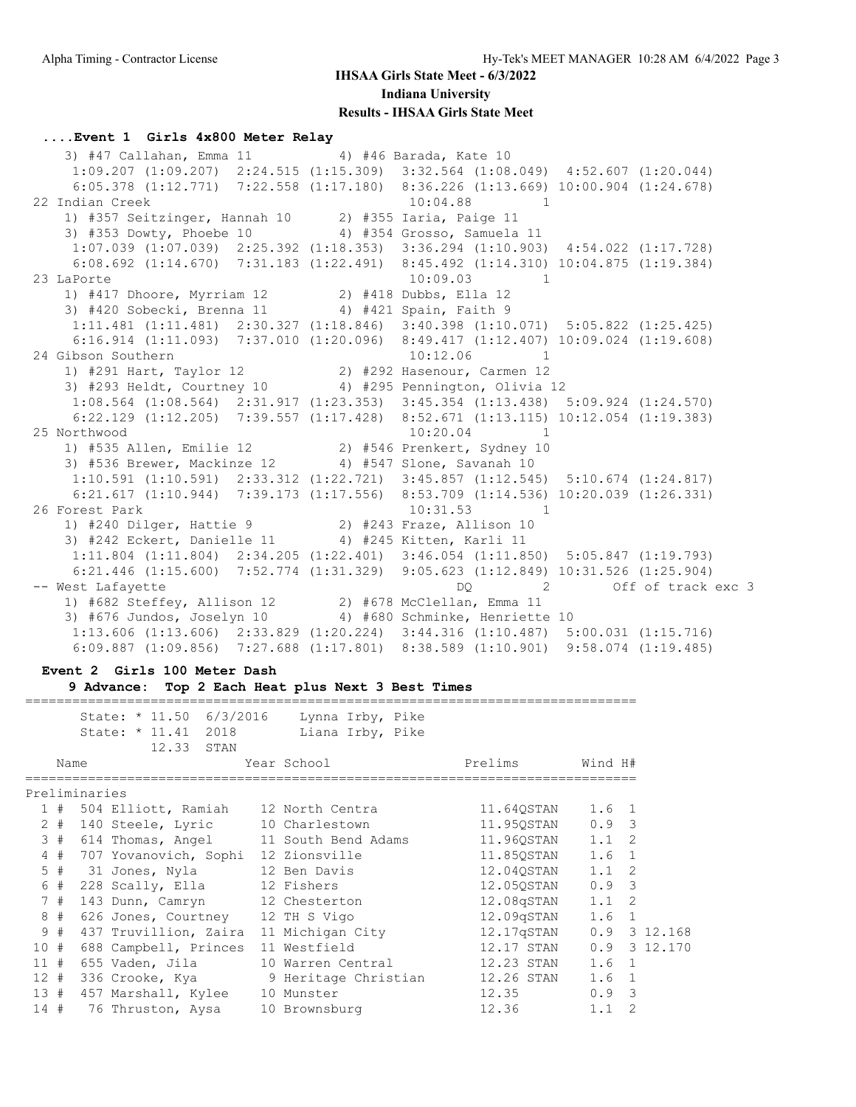#### **....Event 1 Girls 4x800 Meter Relay**

3) #47 Callahan, Emma 11 4) #46 Barada, Kate 10 1:09.207 (1:09.207) 2:24.515 (1:15.309) 3:32.564 (1:08.049) 4:52.607 (1:20.044) 6:05.378 (1:12.771) 7:22.558 (1:17.180) 8:36.226 (1:13.669) 10:00.904 (1:24.678) 22 Indian Creek 10:04.88 1 1) #357 Seitzinger, Hannah 10 2) #355 Iaria, Paige 11 3) #353 Dowty, Phoebe 10 4) #354 Grosso, Samuela 11 1:07.039 (1:07.039) 2:25.392 (1:18.353) 3:36.294 (1:10.903) 4:54.022 (1:17.728) 6:08.692 (1:14.670) 7:31.183 (1:22.491) 8:45.492 (1:14.310) 10:04.875 (1:19.384)<br>aPorte 10:09.03 1 23 LaPorte 10:09.03 1 1) #417 Dhoore, Myrriam 12 2) #418 Dubbs, Ella 12 3) #420 Sobecki, Brenna 11 4) #421 Spain, Faith 9 1:11.481 (1:11.481) 2:30.327 (1:18.846) 3:40.398 (1:10.071) 5:05.822 (1:25.425) 6:16.914 (1:11.093) 7:37.010 (1:20.096) 8:49.417 (1:12.407) 10:09.024 (1:19.608) 24 Gibson Southern 10:12.06 1 1) #291 Hart, Taylor 12 2) #292 Hasenour, Carmen 12 3) #293 Heldt, Courtney 10 4) #295 Pennington, Olivia 12 1:08.564 (1:08.564) 2:31.917 (1:23.353) 3:45.354 (1:13.438) 5:09.924 (1:24.570) 6:22.129 (1:12.205) 7:39.557 (1:17.428) 8:52.671 (1:13.115) 10:12.054 (1:19.383) 25 Northwood 10:20.04 1 1) #535 Allen, Emilie 12 2) #546 Prenkert, Sydney 10 3) #536 Brewer, Mackinze 12 4) #547 Slone, Savanah 10 1:10.591 (1:10.591) 2:33.312 (1:22.721) 3:45.857 (1:12.545) 5:10.674 (1:24.817) 6:21.617 (1:10.944) 7:39.173 (1:17.556) 8:53.709 (1:14.536) 10:20.039 (1:26.331) 26 Forest Park 10:31.53 1 1) #240 Dilger, Hattie 9 2) #243 Fraze, Allison 10 3) #242 Eckert, Danielle 11 4) #245 Kitten, Karli 11 1:11.804 (1:11.804) 2:34.205 (1:22.401) 3:46.054 (1:11.850) 5:05.847 (1:19.793) 6:21.446 (1:15.600) 7:52.774 (1:31.329) 9:05.623 (1:12.849) 10:31.526 (1:25.904) -- West Lafayette DQ 2 Off of track exc 3 1) #682 Steffey, Allison 12 2) #678 McClellan, Emma 11 3) #676 Jundos, Joselyn 10 4) #680 Schminke, Henriette 10 1:13.606 (1:13.606) 2:33.829 (1:20.224) 3:44.316 (1:10.487) 5:00.031 (1:15.716) 6:09.887 (1:09.856) 7:27.688 (1:17.801) 8:38.589 (1:10.901) 9:58.074 (1:19.485)

### **Event 2 Girls 100 Meter Dash 9 Advance: Top 2 Each Heat plus Next 3 Best Times**

============================================================================== State: \* 11.50 6/3/2016 Lynna Irby, Pike State: \* 11.41 2018 Liana Irby, Pike 12.33 STAN Name Year School Prelims Wind H# ============================================================================== Preliminaries 1 # 504 Elliott, Ramiah 12 North Centra 11.64QSTAN 1.6 1 2 # 140 Steele, Lyric 10 Charlestown 11.95QSTAN 0.9 3 3 # 614 Thomas, Angel 11 South Bend Adams 11.96QSTAN 1.1 2 4 # 707 Yovanovich, Sophi 12 Zionsville 11.85QSTAN 1.6 1 5 # 31 Jones, Nyla 12 Ben Davis 12.04QSTAN 1.1 2 6 # 228 Scally, Ella 12 Fishers 12.05QSTAN 0.9 3 7 # 143 Dunn, Camryn 12 Chesterton 12.08qSTAN 1.1 2 8 # 626 Jones, Courtney 12 TH S Vigo 12.09qSTAN 1.6 1 9 # 437 Truvillion, Zaira 11 Michigan City 12.17qSTAN 0.9 3 12.168 10 # 688 Campbell, Princes 11 Westfield 12.17 STAN 0.9 3 12.170 11 # 655 Vaden, Jila 10 Warren Central 12.23 STAN 1.6 1 12 # 336 Crooke, Kya 9 Heritage Christian 12.26 STAN 1.6 1 13 # 457 Marshall, Kylee 10 Munster 12.35 0.9 3 14 # 76 Thruston, Aysa 10 Brownsburg 12.36 1.1 2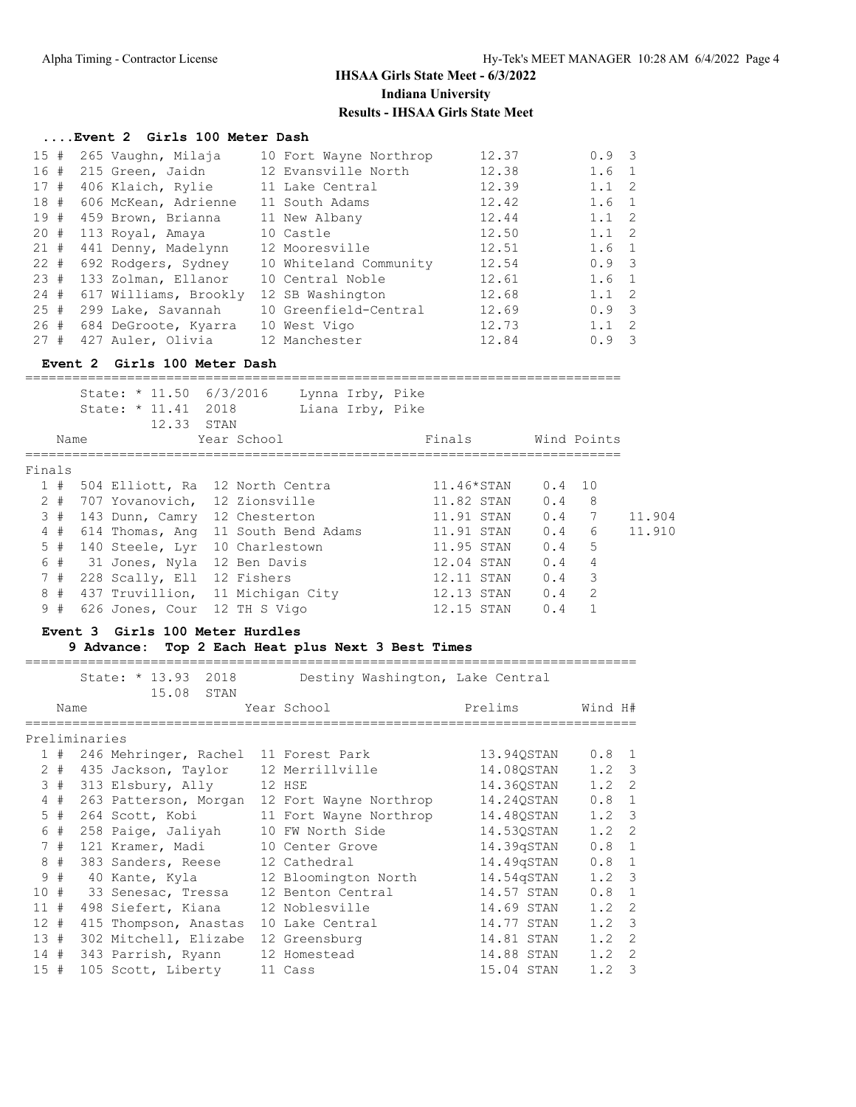#### **....Event 2 Girls 100 Meter Dash**

| 15#    | 265 Vaughn, Milaja    | 10 Fort Wayne Northrop | 12.37 | $0.9 \quad 3$ |                         |
|--------|-----------------------|------------------------|-------|---------------|-------------------------|
|        |                       |                        |       |               |                         |
| 16#    | 215 Green, Jaidn      | 12 Evansville North    | 12.38 | 1.6           | $\overline{1}$          |
| 17#    | 406 Klaich, Rylie     | 11 Lake Central        | 12.39 | $1.1 \quad 2$ |                         |
| 18 #   | 606 McKean, Adrienne  | 11 South Adams         | 12.42 | 1.6 1         |                         |
| 19#    | 459 Brown, Brianna    | 11 New Albany          | 12.44 | $1.1 \quad 2$ |                         |
| 20#    | 113 Royal, Amaya      | 10 Castle              | 12.50 | $1.1 \quad 2$ |                         |
| 21#    | 441 Denny, Madelynn   | 12 Mooresville         | 12.51 | $1.6 \quad 1$ |                         |
| $22 +$ | 692 Rodgers, Sydney   | 10 Whiteland Community | 12.54 | $0.9 \quad 3$ |                         |
| 23#    | 133 Zolman, Ellanor   | 10 Central Noble       | 12.61 | $1.6 \quad 1$ |                         |
| 24#    | 617 Williams, Brookly | 12 SB Washington       | 12.68 | $1.1 \quad 2$ |                         |
| 25#    | 299 Lake, Savannah    | 10 Greenfield-Central  | 12.69 | $0.9 \quad 3$ |                         |
| 26 #   | 684 DeGroote, Kyarra  | 10 West Vigo           | 12.73 | 1.1           | $\overline{2}$          |
| 27#    | 427 Auler, Olivia     | 12 Manchester          | 12.84 | 0.9           | $\overline{\mathbf{3}}$ |
|        |                       |                        |       |               |                         |

#### **Event 2 Girls 100 Meter Dash**

============================================================================

|        |       |  | State: * 11.50 6/3/2016<br>State: * 11.41<br>12.33 | 2018<br>STAN |                |                                     | Lynna Irby, Pike<br>Liana Irby, Pike |            |     |     |                |        |
|--------|-------|--|----------------------------------------------------|--------------|----------------|-------------------------------------|--------------------------------------|------------|-----|-----|----------------|--------|
|        | Name  |  |                                                    |              | Year School    |                                     |                                      | Finals     |     |     | Wind Points    |        |
| Finals |       |  |                                                    |              |                |                                     |                                      |            |     |     |                |        |
|        | 1#    |  |                                                    |              |                | 504 Elliott, Ra 12 North Centra     |                                      | 11.46*STAN |     |     | $0.4$ 10       |        |
|        | $2 +$ |  | 707 Yovanovich, 12 Zionsville                      |              |                |                                     |                                      | 11.82 STAN | 0.4 |     | 8              |        |
|        | 3#    |  | 143 Dunn, Camry 12 Chesterton                      |              |                |                                     |                                      | 11.91 STAN | 0.4 |     | 7              | 11.904 |
|        | 4#    |  |                                                    |              |                | 614 Thomas, Ang 11 South Bend Adams |                                      | 11.91 STAN | 0.4 |     | 6              | 11.910 |
|        | 5#    |  | 140 Steele, Lyr                                    |              | 10 Charlestown |                                     |                                      | 11.95 STAN |     | 0.4 | 5              |        |
|        | 6#    |  | 31 Jones, Nyla 12 Ben Davis                        |              |                |                                     |                                      | 12.04 STAN | 0.4 |     | $\overline{4}$ |        |
|        | 7#    |  | 228 Scally, Ell 12 Fishers                         |              |                |                                     |                                      | 12.11 STAN |     | 0.4 | 3              |        |
|        | 8#    |  |                                                    |              |                | 437 Truvillion, 11 Michigan City    |                                      | 12.13 STAN | 0.4 |     | 2              |        |
|        | 9#    |  | 626 Jones, Cour 12 TH S Vigo                       |              |                |                                     |                                      | 12.15 STAN | 0.4 |     |                |        |

### **Event 3 Girls 100 Meter Hurdles**

#### **9 Advance: Top 2 Each Heat plus Next 3 Best Times**

============================================================================== State: \* 13.93 2018 Destiny Washington, Lake Central 15.08 STAN Name **Name** Year School Prelims Wind H# ============================================================================== Preliminaries 1 # 246 Mehringer, Rachel 11 Forest Park 13.94QSTAN 0.8 1 2 # 435 Jackson, Taylor 12 Merrillville 14.08QSTAN 1.2 3 3 # 313 Elsbury, Ally 12 HSE 14.36QSTAN 1.2 2 4 # 263 Patterson, Morgan 12 Fort Wayne Northrop 14.24QSTAN 0.8 1 5 # 264 Scott, Kobi 11 Fort Wayne Northrop 14.48QSTAN 1.2 3 6 # 258 Paige, Jaliyah 10 FW North Side 14.53QSTAN 1.2 2 7 # 121 Kramer, Madi 10 Center Grove 14.39qSTAN 0.8 1 8 # 383 Sanders, Reese 12 Cathedral 14.49qSTAN 0.8 1 9 # 40 Kante, Kyla 12 Bloomington North 14.54qSTAN 1.2 3 10 # 33 Senesac, Tressa 12 Benton Central 14.57 STAN 0.8 1 11 # 498 Siefert, Kiana 12 Noblesville 14.69 STAN 1.2 2 12 # 415 Thompson, Anastas 10 Lake Central 14.77 STAN 1.2 3 13 # 302 Mitchell, Elizabe 12 Greensburg 14.81 STAN 1.2 2 14 # 343 Parrish, Ryann 12 Homestead 14.88 STAN 1.2 2 15 # 105 Scott, Liberty 11 Cass 15.04 STAN 1.2 3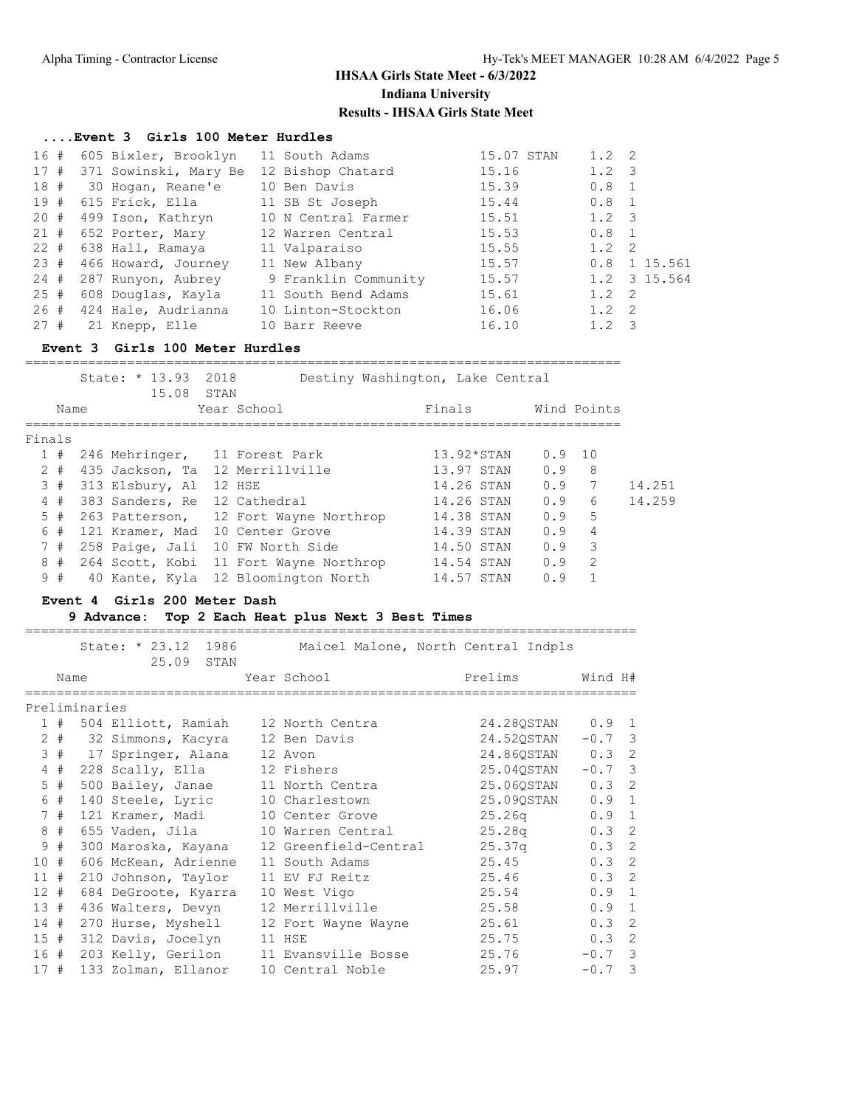### **....Event 3 Girls 100 Meter Hurdles**

| 16 # | 605 Bixler, Brooklyn  | 11 South Adams       | 15.07 STAN | $1.2 \quad 2$                   |
|------|-----------------------|----------------------|------------|---------------------------------|
| 17#  | 371 Sowinski, Mary Be | 12 Bishop Chatard    | 15.16      | $1.2 \quad 3$                   |
| 18#  | 30 Hogan, Reane'e     | 10 Ben Davis         | 15.39      | $0.8 \quad 1$                   |
| 19#  | 615 Frick, Ella       | 11 SB St Joseph      | 15.44      | $0.8 \quad 1$                   |
| 20 # | 499 Ison, Kathryn     | 10 N Central Farmer  | 15.51      | $1.2 \quad 3$                   |
| 21 # | 652 Porter, Mary      | 12 Warren Central    | 15.53      | $0.8 \quad 1$                   |
| 22 # | 638 Hall, Ramaya      | 11 Valparaiso        | 15.55      | $1.2 \quad 2$                   |
| 23 # | 466 Howard, Journey   | 11 New Albany        | 15.57      | 1 15.561<br>0.8                 |
| 24 # | 287 Runyon, Aubrey    | 9 Franklin Community | 15.57      | 1.2 3 15.564                    |
| 25#  | 608 Douglas, Kayla    | 11 South Bend Adams  | 15.61      | $1.2 \quad 2$                   |
| 26 # | 424 Hale, Audrianna   | 10 Linton-Stockton   | 16.06      | $1.2 \quad 2$                   |
| 27#  | 21 Knepp, Elle        | 10 Barr Reeve        | 16.10      | 1.2<br>$\overline{\phantom{a}}$ |

### **Event 3 Girls 100 Meter Hurdles**

|        |       | State: * 13.93<br>15.08       | 2018<br>STAN |                                        | Destiny Washington, Lake Central |                |                 |        |
|--------|-------|-------------------------------|--------------|----------------------------------------|----------------------------------|----------------|-----------------|--------|
|        | Name  |                               |              | Year School                            | Finals                           |                | Wind Points     |        |
| Finals |       |                               |              |                                        |                                  |                |                 |        |
|        | 1#    | 246 Mehringer, 11 Forest Park |              |                                        | $13.92*STAN$                     | $0.9 \quad 10$ |                 |        |
|        | $2 +$ |                               |              | 435 Jackson, Ta 12 Merrillville        | 13.97 STAN                       | 0.9            | 8               |        |
|        | 3#    | 313 Elsbury, Al 12 HSE        |              |                                        | 14.26 STAN                       | 0.9            | 7               | 14.251 |
|        | 4#    | 383 Sanders, Re 12 Cathedral  |              |                                        | 14.26 STAN                       | 0.9            | $6\overline{6}$ | 14.259 |
|        | 5#    |                               |              | 263 Patterson, 12 Fort Wayne Northrop  | 14.38 STAN                       | 0.9            | 5               |        |
|        | 6#    |                               |              | 121 Kramer, Mad 10 Center Grove        | 14.39 STAN                       | 0.9            | $\overline{4}$  |        |
|        | 7#    |                               |              | 258 Paige, Jali 10 FW North Side       | 14.50 STAN                       | 0.9            | 3               |        |
|        | 8#    |                               |              | 264 Scott, Kobi 11 Fort Wayne Northrop | 14.54 STAN                       | 0.9            | $\overline{2}$  |        |
|        | 9#    |                               |              | 40 Kante, Kyla 12 Bloomington North    | 14.57 STAN                       | 0.9            |                 |        |
|        |       |                               |              |                                        |                                  |                |                 |        |

### **Event 4 Girls 200 Meter Dash**

### **9 Advance: Top 2 Each Heat plus Next 3 Best Times**

|        |       |               | State: * 23.12 1986     | 25.09 | STAN | Maicel Malone, North Central Indpls |                  |               |  |
|--------|-------|---------------|-------------------------|-------|------|-------------------------------------|------------------|---------------|--|
|        | Name  |               |                         |       |      | Year School                         | Prelims          | Wind H#       |  |
|        |       | Preliminaries |                         |       |      |                                     |                  |               |  |
|        | 1#    |               |                         |       |      | 504 Elliott, Ramiah 12 North Centra | 24.280STAN 0.9 1 |               |  |
|        |       |               | 2 # 32 Simmons, Kacyra  |       |      | 12 Ben Davis                        | 24.520STAN       | $-0.7$ 3      |  |
|        |       |               | 3 # 17 Springer, Alana  |       |      | 12 Avon                             | 24.860STAN 0.3 2 |               |  |
|        | 4#    |               | 228 Scally, Ella        |       |      | 12 Fishers                          | 25.04OSTAN       | $-0.7$ 3      |  |
|        | $5$ # |               | 500 Bailey, Janae       |       |      | 11 North Centra                     | 25.06OSTAN       | 0.32          |  |
|        | 6 #   |               | 140 Steele, Lyric       |       |      | 10 Charlestown                      | 25.090STAN       | $0.9 \quad 1$ |  |
|        | 7#    |               | 121 Kramer, Madi        |       |      | 10 Center Grove                     | 25.26q           | $0.9 \quad 1$ |  |
|        | 8#    |               | 655 Vaden, Jila         |       |      | 10 Warren Central                   | 25.28q           | $0.3 \quad 2$ |  |
|        | 9#    |               | 300 Maroska, Kayana     |       |      | 12 Greenfield-Central               | 25.37q           | 0.32          |  |
| 10#    |       |               | 606 McKean, Adrienne    |       |      | 11 South Adams                      | 25.45            | $0.3 \quad 2$ |  |
| 11#    |       |               | 210 Johnson, Taylor     |       |      | 11 EV FJ Reitz                      | 25.46            | $0.3 \quad 2$ |  |
| $12 +$ |       |               | 684 DeGroote, Kyarra    |       |      | 10 West Vigo                        | 25.54            | $0.9 \quad 1$ |  |
| 13#    |       |               | 436 Walters, Devyn      |       |      | 12 Merrillville                     | 25.58            | $0.9 \quad 1$ |  |
|        |       |               | 14 # 270 Hurse, Myshell |       |      | 12 Fort Wayne Wayne                 | 25.61            | $0.3 \quad 2$ |  |
|        |       |               | 15 # 312 Davis, Jocelyn |       |      | 11 HSE                              | 25.75            | $0.3 \quad 2$ |  |
|        |       |               | 16 # 203 Kelly, Gerilon |       |      | 11 Evansville Bosse                 | 25.76            | $-0.7$ 3      |  |
| 17#    |       |               | 133 Zolman, Ellanor     |       |      | 10 Central Noble                    | 25.97            | $-0.7$ 3      |  |

==============================================================================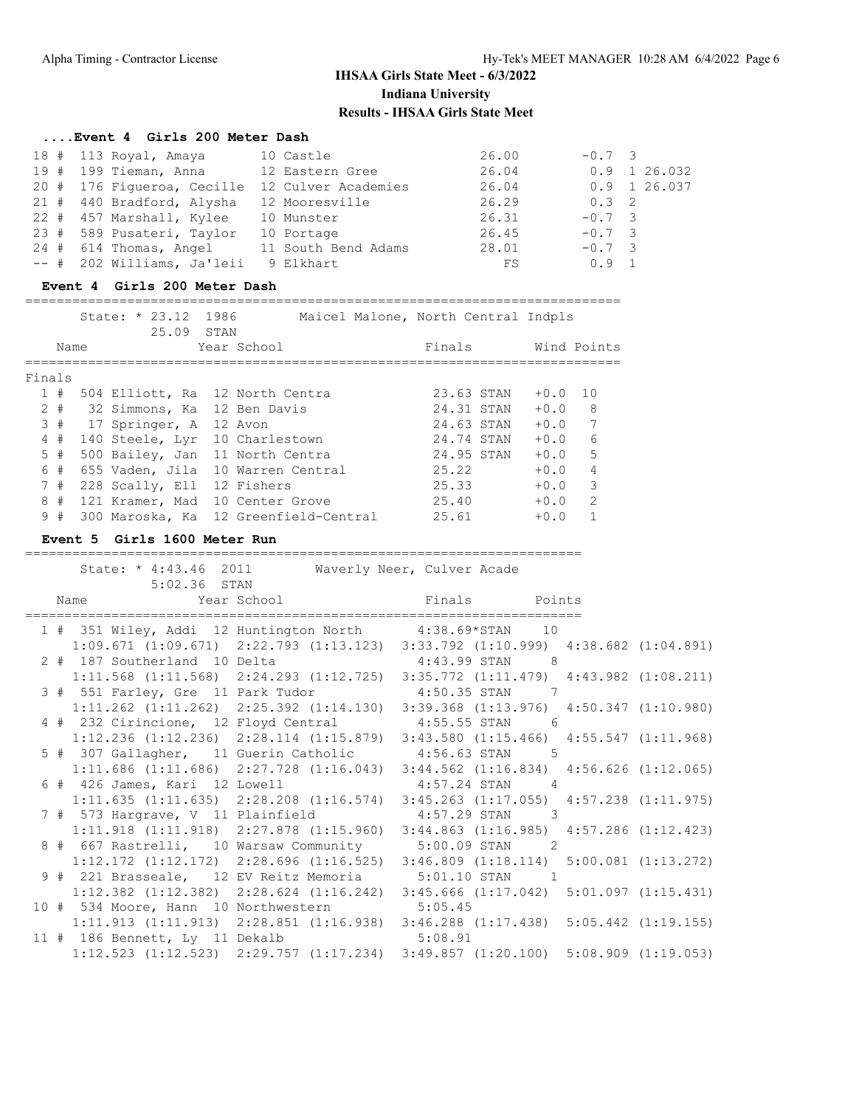### **....Event 4 Girls 200 Meter Dash**

| 18 # 113 Royal, Amaya      | 10 Castle           | 26.00 | $-0.7$ 3       |  |
|----------------------------|---------------------|-------|----------------|--|
| 19 # 199 Tieman, Anna      | 12 Eastern Gree     | 26.04 | $0.9$ 1 26.032 |  |
| 20 # 176 Fiqueroa, Cecille | 12 Culver Academies | 26.04 | 0.9 1 26.037   |  |
| 21 # 440 Bradford, Alysha  | 12 Mooresville      | 26.29 | $0.3 \quad 2$  |  |
| 22 # 457 Marshall, Kylee   | 10 Munster          | 26.31 | $-0.7$ 3       |  |
| 23 # 589 Pusateri, Taylor  | 10 Portage          | 26.45 | $-0.7$ 3       |  |
| $24$ # $614$ Thomas, Angel | 11 South Bend Adams | 28.01 | $-0.7$ 3       |  |
| -- # 202 Williams, Ja'leii | 9 Elkhart           | FS    | $0.9 \quad 1$  |  |

### **Event 4 Girls 200 Meter Dash**

#### ============================================================================

|        |       | State: $* 23.12$                | 1986 | Maicel Malone, North Central Indpls   |            |              |
|--------|-------|---------------------------------|------|---------------------------------------|------------|--------------|
|        | Name  | 25.09                           | STAN | Year School                           | Finals     | Wind Points  |
| Finals |       |                                 |      |                                       |            |              |
|        | 1#    | 504 Elliott, Ra 12 North Centra |      |                                       | 23.63 STAN | $+0.0$<br>10 |
|        | $2 +$ | 32 Simmons, Ka 12 Ben Davis     |      |                                       | 24.31 STAN | 8<br>$+0.0$  |
|        | 3#    | 17 Springer, A 12 Avon          |      |                                       | 24.63 STAN | 7<br>$+0.0$  |
|        | 4#    | 140 Steele, Lyr 10 Charlestown  |      |                                       | 24.74 STAN | 6<br>$+0.0$  |
|        | 5#    | 500 Bailey, Jan 11 North Centra |      |                                       | 24.95 STAN | 5<br>$+0.0$  |
|        | 6#    |                                 |      | 655 Vaden, Jila 10 Warren Central     | 25.22      | 4<br>$+0.0$  |
|        | 7#    | 228 Scally, Ell 12 Fishers      |      |                                       | 25.33      | 3<br>$+0.0$  |
|        | 8#    | 121 Kramer, Mad 10 Center Grove |      |                                       | 25.40      | 2<br>$+0.0$  |
|        | 9#    |                                 |      | 300 Maroska, Ka 12 Greenfield-Central | 25.61      | $+0.0$       |

#### **Event 5 Girls 1600 Meter Run**

#### =======================================================================

|                                                                                                                                                                                                                            | State: * 4:43.46 2011 Waverly Neer, Culver Acade |                  |  |
|----------------------------------------------------------------------------------------------------------------------------------------------------------------------------------------------------------------------------|--------------------------------------------------|------------------|--|
| $5:02.36$ STAN                                                                                                                                                                                                             |                                                  |                  |  |
| Name    Vear School    Vear School    Vear    Vear    Vear    Vear    Vear    Vear    Vear    Vear    Vear    Vear    Vear    Vear    Vear    Vear    Vear    Vear    Vear    Vear    Vear    Vear    Vear    Vear    Vear |                                                  |                  |  |
| 1 # 351 Wiley, Addi 12 Huntington North 4:38.69*STAN 10                                                                                                                                                                    |                                                  |                  |  |
| $1:09.671$ (1:09.671) $2:22.793$ (1:13.123) $3:33.792$ (1:10.999) $4:38.682$ (1:04.891)                                                                                                                                    |                                                  |                  |  |
| 2 # 187 Southerland 10 Delta                                                                                                                                                                                               |                                                  | $4:43.99$ STAN 8 |  |
| $1:11.568$ $(1:11.568)$ $2:24.293$ $(1:12.725)$ $3:35.772$ $(1:11.479)$ $4:43.982$ $(1:08.211)$                                                                                                                            |                                                  |                  |  |
| 3 # 551 Farley, Gre 11 Park Tudor 4:50.35 STAN 7                                                                                                                                                                           |                                                  |                  |  |
| $1:11.262$ (1:11.262) $2:25.392$ (1:14.130) $3:39.368$ (1:13.976) $4:50.347$ (1:10.980)                                                                                                                                    |                                                  |                  |  |
| 4 # 232 Cirincione, 12 Floyd Central 4:55.55 STAN 6                                                                                                                                                                        |                                                  |                  |  |
| 1:12.236 (1:12.236) 2:28.114 (1:15.879) 3:43.580 (1:15.466) 4:55.547 (1:11.968)                                                                                                                                            |                                                  |                  |  |
| 5 # 307 Gallagher, 11 Guerin Catholic 4:56.63 STAN 5                                                                                                                                                                       |                                                  |                  |  |
| 1:11.686 (1:11.686) 2:27.728 (1:16.043) 3:44.562 (1:16.834) 4:56.626 (1:12.065)                                                                                                                                            |                                                  |                  |  |
| 6 # 426 James, Kari 12 Lowell 4:57.24 STAN 4                                                                                                                                                                               |                                                  |                  |  |
| $1:11.635$ (1:11.635) $2:28.208$ (1:16.574) $3:45.263$ (1:17.055) $4:57.238$ (1:11.975)                                                                                                                                    |                                                  |                  |  |
| 7 # 573 Hargrave, V 11 Plainfield 4:57.29 STAN 3                                                                                                                                                                           |                                                  |                  |  |
| 1:11.918 (1:11.918) 2:27.878 (1:15.960) 3:44.863 (1:16.985) 4:57.286 (1:12.423)                                                                                                                                            |                                                  |                  |  |
| 8 # 667 Rastrelli, 10 Warsaw Community 5:00.09 STAN 2                                                                                                                                                                      |                                                  |                  |  |
| $1:12.172$ $(1:12.172)$ $2:28.696$ $(1:16.525)$ $3:46.809$ $(1:18.114)$ $5:00.081$ $(1:13.272)$                                                                                                                            |                                                  |                  |  |
| 9 # 221 Brasseale, 12 EV Reitz Memoria 5:01.10 STAN 1                                                                                                                                                                      |                                                  |                  |  |
| 1:12.382 (1:12.382) 2:28.624 (1:16.242) 3:45.666 (1:17.042) 5:01.097 (1:15.431)                                                                                                                                            |                                                  |                  |  |
| 10 # 534 Moore, Hann 10 Northwestern 5:05.45                                                                                                                                                                               |                                                  |                  |  |
| 1:11.913 (1:11.913) 2:28.851 (1:16.938) 3:46.288 (1:17.438) 5:05.442 (1:19.155)                                                                                                                                            |                                                  |                  |  |
| 11 # 186 Bennett, Ly 11 Dekalb 5:08.91                                                                                                                                                                                     |                                                  |                  |  |
| $1:12.523$ (1:12.523) 2:29.757 (1:17.234) 3:49.857 (1:20.100) 5:08.909 (1:19.053)                                                                                                                                          |                                                  |                  |  |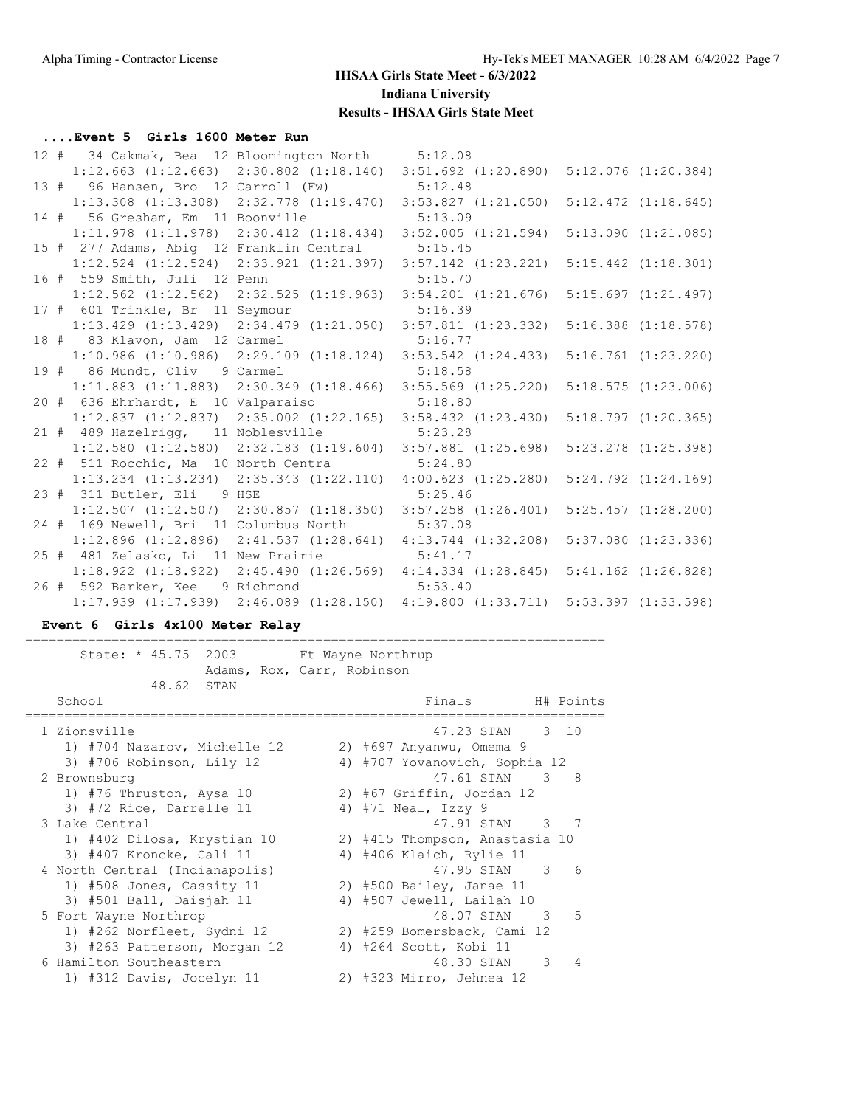#### **....Event 5 Girls 1600 Meter Run**

|  | 12 # 34 Cakmak, Bea 12 Bloomington North 5:12.08                        |         |                                                                                 |                         |
|--|-------------------------------------------------------------------------|---------|---------------------------------------------------------------------------------|-------------------------|
|  |                                                                         |         | 1:12.663 (1:12.663) 2:30.802 (1:18.140) 3:51.692 (1:20.890) 5:12.076 (1:20.384) |                         |
|  | 13 # 96 Hansen, Bro 12 Carroll (Fw)                                     |         | 5:12.48                                                                         |                         |
|  | $1:13.308$ $(1:13.308)$ $2:32.778$ $(1:19.470)$                         |         | $3:53.827$ $(1:21.050)$                                                         | $5:12.472$ $(1:18.645)$ |
|  | 14 # 56 Gresham, Em 11 Boonville                                        |         | 5:13.09                                                                         |                         |
|  | $1:11.978$ $(1:11.978)$ $2:30.412$ $(1:18.434)$ $3:52.005$ $(1:21.594)$ |         |                                                                                 | 5:13.090(1:21.085)      |
|  | 15 # 277 Adams, Abig 12 Franklin Central                                |         | 5:15.45                                                                         |                         |
|  | $1:12.524$ $(1:12.524)$ $2:33.921$ $(1:21.397)$                         |         | $3:57.142$ $(1:23.221)$                                                         | $5:15.442$ $(1:18.301)$ |
|  | 16 # 559 Smith, Juli 12 Penn                                            |         | 5:15.70                                                                         |                         |
|  | $1:12.562$ (1:12.562) 2:32.525 (1:19.963) 3:54.201 (1:21.676)           |         |                                                                                 | 5:15.697(1:21.497)      |
|  | 17 # 601 Trinkle, Br 11 Seymour                                         |         | 5:16.39                                                                         |                         |
|  | $1:13.429$ $(1:13.429)$ $2:34.479$ $(1:21.050)$                         |         | $3:57.811$ $(1:23.332)$                                                         | $5:16.388$ $(1:18.578)$ |
|  | 18 # 83 Klavon, Jam 12 Carmel                                           |         | 5:16.77                                                                         |                         |
|  | $1:10.986$ (1:10.986) 2:29.109 (1:18.124) 3:53.542 (1:24.433)           |         |                                                                                 | $5:16.761$ $(1:23.220)$ |
|  | 19 # 86 Mundt, Oliv 9 Carmel                                            |         | 5:18.58                                                                         |                         |
|  | $1:11.883$ $(1:11.883)$ $2:30.349$ $(1:18.466)$                         |         | $3:55.569$ $(1:25.220)$                                                         | 5:18.575(1:23.006)      |
|  | 20 # 636 Ehrhardt, E 10 Valparaiso 5:18.80                              |         |                                                                                 |                         |
|  | $1:12.837$ $(1:12.837)$ $2:35.002$ $(1:22.165)$ $3:58.432$ $(1:23.430)$ |         |                                                                                 | 5:18.797(1:20.365)      |
|  | 21 # 489 Hazelrigg, 11 Noblesville 5:23.28                              |         |                                                                                 |                         |
|  | $1:12.580$ (1:12.580) $2:32.183$ (1:19.604) $3:57.881$ (1:25.698)       |         |                                                                                 | $5:23.278$ $(1:25.398)$ |
|  | 22 # 511 Rocchio, Ma 10 North Centra 5:24.80                            |         |                                                                                 |                         |
|  | $1:13.234$ $(1:13.234)$ $2:35.343$ $(1:22.110)$ $4:00.623$ $(1:25.280)$ |         |                                                                                 | $5:24.792$ $(1:24.169)$ |
|  | 23 # 311 Butler, Eli 9 HSE                                              |         | 5:25.46                                                                         |                         |
|  | $1:12.507$ (1:12.507) 2:30.857 (1:18.350) 3:57.258 (1:26.401)           |         |                                                                                 | 5:25.457(1:28.200)      |
|  | 24 # 169 Newell, Bri 11 Columbus North 5:37.08                          |         |                                                                                 |                         |
|  | $1:12.896$ $(1:12.896)$ $2:41.537$ $(1:28.641)$ $4:13.744$ $(1:32.208)$ |         |                                                                                 | $5:37.080$ $(1:23.336)$ |
|  | 25 # 481 Zelasko, Li 11 New Prairie 5:41.17                             |         |                                                                                 |                         |
|  | $1:18.922$ (1:18.922) 2:45.490 (1:26.569) 4:14.334 (1:28.845)           |         |                                                                                 | $5:41.162$ $(1:26.828)$ |
|  | 26 # 592 Barker, Kee 9 Richmond                                         | 5:53.40 |                                                                                 |                         |
|  | $1:17.939$ $(1:17.939)$                                                 |         | 2:46.089 (1:28.150) 4:19.800 (1:33.711) 5:53.397 (1:33.598)                     |                         |

### **Event 6 Girls 4x100 Meter Relay**

State: \* 45.75 2003 Ft Wayne Northrup Adams, Rox, Carr, Robinson 48.62 STAN Finals H# Points ========================================================================== 1 Zionsville 47.23 STAN 3 10 1) #704 Nazarov, Michelle 12 2) #697 Anyanwu, Omema 9 3) #706 Robinson, Lily 12 4) #707 Yovanovich, Sophia 12 2 Brownsburg 47.61 STAN 3 8 1) #76 Thruston, Aysa 10 2) #67 Griffin, Jordan 12 3) #72 Rice, Darrelle 11  $\qquad \qquad$  4) #71 Neal, Izzy 9 3 Lake Central 47.91 STAN 3 7 1) #402 Dilosa, Krystian 10 2) #415 Thompson, Anastasia 10 3) #407 Kroncke, Cali 11 4) #406 Klaich, Rylie 11 4 North Central (Indianapolis) 47.95 STAN 3 6 1) #508 Jones, Cassity 11 2) #500 Bailey, Janae 11 3) #501 Ball, Daisjah 11 4) #507 Jewell, Lailah 10 5 Fort Wayne Northrop 48.07 STAN 3 5 1) #262 Norfleet, Sydni 12 2) #259 Bomersback, Cami 12 3) #263 Patterson, Morgan 12 4) #264 Scott, Kobi 11 6 Hamilton Southeastern 48.30 STAN 3 4 1) #312 Davis, Jocelyn 11 2) #323 Mirro, Jehnea 12

==========================================================================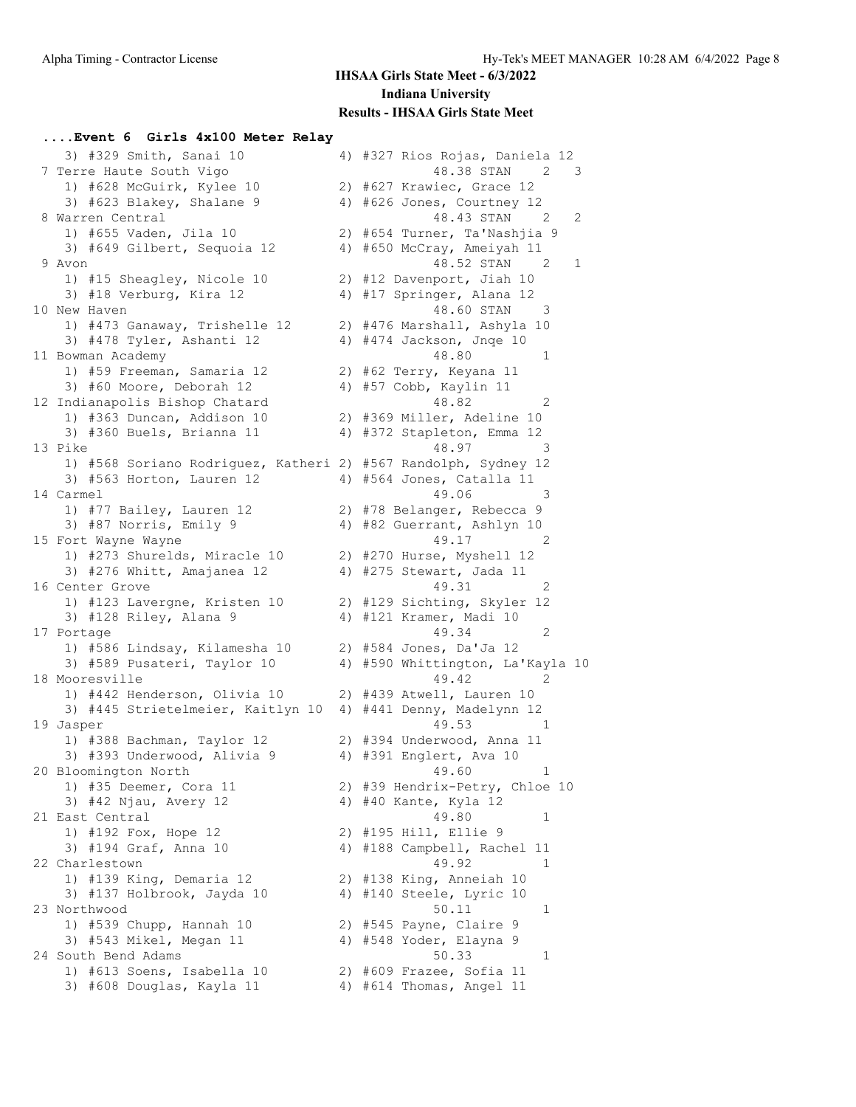### **....Event 6 Girls 4x100 Meter Relay**

| 3) #329 Smith, Sanai 10                                        | 4) #327 Rios Rojas, Daniela 12   |
|----------------------------------------------------------------|----------------------------------|
| 7 Terre Haute South Vigo                                       | 48.38 STAN<br>2<br>3             |
| 1) #628 McGuirk, Kylee 10                                      | 2) #627 Krawiec, Grace 12        |
| 3) #623 Blakey, Shalane 9                                      | 4) #626 Jones, Courtney 12       |
| 8 Warren Central                                               | 48.43 STAN<br>2<br>2             |
| 1) #655 Vaden, Jila 10                                         | 2) #654 Turner, Ta'Nashjia 9     |
| 3) #649 Gilbert, Sequoia 12                                    | 4) #650 McCray, Ameiyah 11       |
| 9 Avon                                                         | 48.52 STAN 2<br>1                |
| 1) #15 Sheagley, Nicole 10                                     | 2) #12 Davenport, Jiah 10        |
| 3) #18 Verburg, Kira 12                                        | 4) #17 Springer, Alana 12        |
| 10 New Haven                                                   | 48.60 STAN<br>- 3                |
| 1) #473 Ganaway, Trishelle 12                                  | 2) #476 Marshall, Ashyla 10      |
| 3) #478 Tyler, Ashanti 12                                      | 4) #474 Jackson, Jnqe 10         |
| 11 Bowman Academy                                              | 48.80<br>1                       |
| 1) #59 Freeman, Samaria 12                                     | 2) #62 Terry, Keyana 11          |
| 3) #60 Moore, Deborah 12                                       | 4) #57 Cobb, Kaylin 11           |
| 12 Indianapolis Bishop Chatard                                 | 48.82<br>2                       |
| 1) #363 Duncan, Addison 10                                     | 2) #369 Miller, Adeline 10       |
| 3) #360 Buels, Brianna 11                                      | 4) #372 Stapleton, Emma 12       |
|                                                                | 48.97<br>3                       |
| 13 Pike                                                        |                                  |
| 1) #568 Soriano Rodriguez, Katheri 2) #567 Randolph, Sydney 12 |                                  |
| 3) #563 Horton, Lauren 12                                      | 4) #564 Jones, Catalla 11        |
| 14 Carmel                                                      | 49.06<br>3                       |
| 1) #77 Bailey, Lauren 12                                       | 2) #78 Belanger, Rebecca 9       |
| 3) #87 Norris, Emily 9                                         | 4) #82 Guerrant, Ashlyn 10       |
| 15 Fort Wayne Wayne                                            | 49.17<br>2                       |
| 1) #273 Shurelds, Miracle 10                                   | 2) #270 Hurse, Myshell 12        |
| 3) #276 Whitt, Amajanea 12                                     | 4) #275 Stewart, Jada 11         |
| 16 Center Grove                                                | 49.31<br>2                       |
| 1) #123 Lavergne, Kristen 10                                   | 2) #129 Sichting, Skyler 12      |
| 3) #128 Riley, Alana 9                                         | 4) #121 Kramer, Madi 10          |
| 17 Portage                                                     | 49.34<br>2                       |
| 1) #586 Lindsay, Kilamesha 10                                  | 2) #584 Jones, Da'Ja 12          |
| 3) #589 Pusateri, Taylor 10                                    | 4) #590 Whittington, La'Kayla 10 |
| 18 Mooresville                                                 | 49.42<br>2                       |
| 1) #442 Henderson, Olivia 10                                   | 2) #439 Atwell, Lauren 10        |
| 3) #445 Strietelmeier, Kaitlyn 10 4) #441 Denny, Madelynn 12   |                                  |
| 19 Jasper                                                      | 49.53<br>1                       |
| 1) #388 Bachman, Taylor 12                                     | 2) #394 Underwood, Anna 11       |
| 3) #393 Underwood, Alivia 9                                    | 4) #391 Englert, Ava 10          |
| 20 Bloomington North                                           | 49.60<br>T                       |
| 1) #35 Deemer, Cora 11                                         | 2) #39 Hendrix-Petry, Chloe 10   |
| 3) #42 Njau, Avery 12                                          | 4) #40 Kante, Kyla 12            |
| 21 East Central                                                | 49.80<br>1                       |
| 1) #192 Fox, Hope 12                                           | 2) #195 Hill, Ellie 9            |
| 3) #194 Graf, Anna 10                                          | 4) #188 Campbell, Rachel 11      |
| 22 Charlestown                                                 | 49.92<br>1                       |
| 1) #139 King, Demaria 12                                       | 2) #138 King, Anneiah 10         |
| 3) #137 Holbrook, Jayda 10                                     | 4) #140 Steele, Lyric 10         |
| 23 Northwood                                                   | 50.11<br>1                       |
| 1) #539 Chupp, Hannah 10                                       | 2) #545 Payne, Claire 9          |
| 3) #543 Mikel, Megan 11                                        | 4) #548 Yoder, Elayna 9          |
| 24 South Bend Adams                                            | 50.33<br>1                       |
| 1) #613 Soens, Isabella 10                                     | 2) #609 Frazee, Sofia 11         |
| 3) #608 Douglas, Kayla 11                                      | 4) #614 Thomas, Angel 11         |
|                                                                |                                  |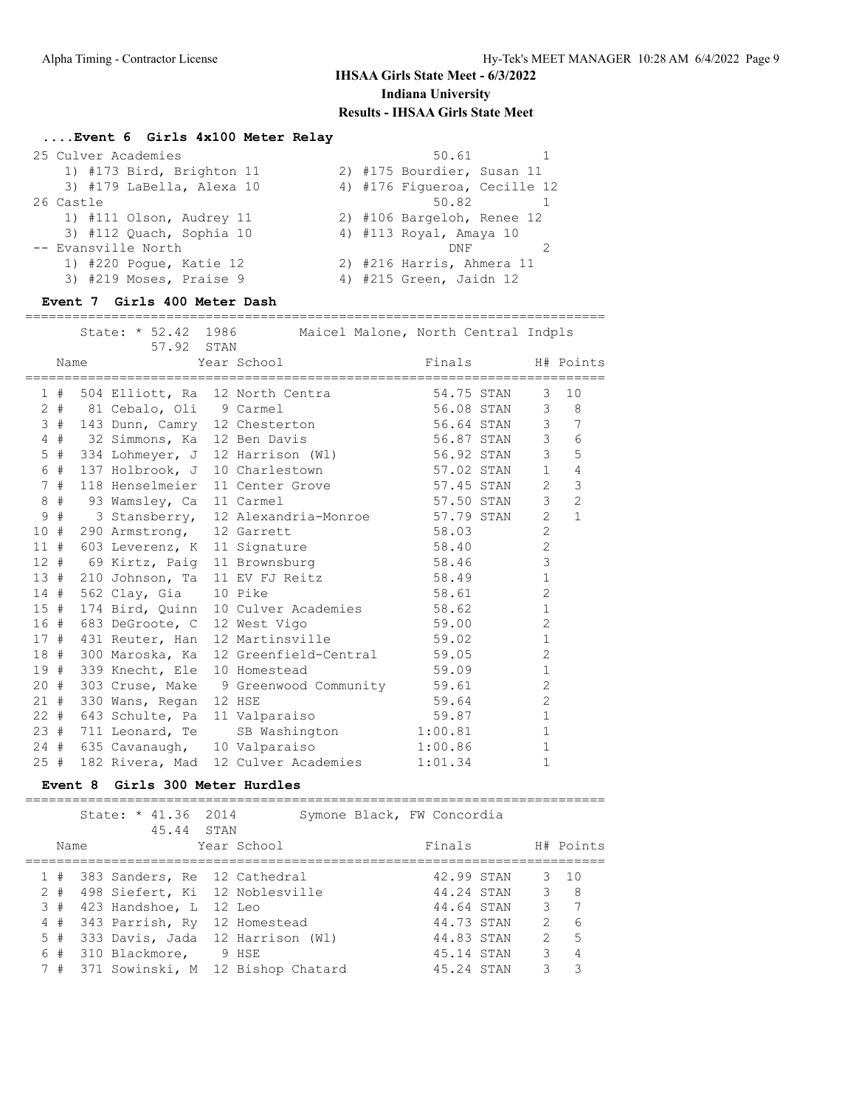### **....Event 6 Girls 4x100 Meter Relay**

| 25 Culver Academies       | 50.61                        |
|---------------------------|------------------------------|
| 1) #173 Bird, Brighton 11 | 2) #175 Bourdier, Susan 11   |
| 3) #179 LaBella, Alexa 10 | 4) #176 Fiqueroa, Cecille 12 |
| 26 Castle                 | 50.82                        |
| 1) #111 Olson, Audrey 11  | 2) #106 Bargeloh, Renee 12   |
| 3) #112 Quach, Sophia 10  | 4) #113 Royal, Amaya 10      |
| -- Evansville North       | <b>DNF</b>                   |
| 1) #220 Poque, Katie 12   | 2) #216 Harris, Ahmera 11    |
| 3) #219 Moses, Praise 9   | 4) #215 Green, Jaidn 12      |

### **Event 7 Girls 400 Meter Dash**

|     |    |      | =================================<br>57.92 STAN | State: * 52.42 1986 Maicel Malone, North Central Indpls                                   | =========================== |                |                  |
|-----|----|------|-------------------------------------------------|-------------------------------------------------------------------------------------------|-----------------------------|----------------|------------------|
|     |    | Name |                                                 | Year School                                                                               | Finals                      |                | H# Points        |
|     |    |      |                                                 | 1 # 504 Elliott, Ra 12 North Centra 54.75 STAN                                            |                             | 3              | 10               |
|     |    |      |                                                 | 2 # 81 Cebalo, Oli 9 Carmel                                                               | 56.08 STAN                  |                | $3 \quad 8$      |
|     |    |      |                                                 | 3 # 143 Dunn, Camry 12 Chesterton 56.64 STAN                                              |                             |                | $3 \overline{7}$ |
|     |    |      |                                                 | 4 # 32 Simmons, Ka 12 Ben Davis                                                           | 56.87 STAN                  | $\mathcal{S}$  | 6                |
| 5   |    |      |                                                 | # 334 Lohmeyer, J 12 Harrison (W1) 56.92 STAN                                             |                             | $\mathcal{E}$  | 5                |
|     |    |      |                                                 | 6 # 137 Holbrook, J 10 Charlestown 57.02 STAN                                             |                             | 1              | $\overline{4}$   |
|     | 7# |      |                                                 | 118 Henselmeier 11 Center Grove 57.45 STAN                                                |                             | $\overline{2}$ | 3                |
|     | 8# |      | 93 Wamsley, Ca 11 Carmel                        |                                                                                           | 57.50 STAN                  | 3 <sup>7</sup> | 2                |
| 9   | #  |      |                                                 | 3 Stansberry, 12 Alexandria-Monroe 57.79 STAN<br>290 Armstrong, 12 Garrett 58.03          |                             | 2              | $\mathbf{1}$     |
|     |    |      | 10 # 290 Armstrong, 12 Garrett                  |                                                                                           |                             | $\overline{2}$ |                  |
|     |    |      | 11 # 603 Leverenz, K 11 Signature               |                                                                                           | 58.40                       | $\overline{2}$ |                  |
|     |    |      |                                                 | 12 # 69 Kirtz, Paig 11 Brownsburg 58.46                                                   |                             | $\mathcal{S}$  |                  |
|     |    |      |                                                 | 13 # 210 Johnson, Ta 11 EV FJ Reitz 58.49                                                 |                             | $\mathbf{1}$   |                  |
|     |    |      | 14 # 562 Clay, Gia 10 Pike                      |                                                                                           | 58.61                       | $\overline{c}$ |                  |
|     |    |      |                                                 |                                                                                           |                             | $\mathbf{1}$   |                  |
|     |    |      |                                                 | 15 # 174 Bird, Quinn 10 Culver Academies 58.62<br>16 # 683 DeGroote, C 12 West Vigo 59.00 |                             | 2              |                  |
|     |    |      |                                                 | 17 # 431 Reuter, Han 12 Martinsville 59.02                                                |                             | $\mathbf{1}$   |                  |
|     |    |      |                                                 | 18 # 300 Maroska, Ka 12 Greenfield-Central 59.05                                          |                             | $\overline{2}$ |                  |
|     |    |      | 19 # 339 Knecht, Ele 10 Homestead               |                                                                                           | 59.09                       | $\mathbf{1}$   |                  |
|     |    |      |                                                 | 20 # 303 Cruse, Make 9 Greenwood Community 59.61                                          |                             | $\overline{c}$ |                  |
|     |    |      | 21 # 330 Wans, Regan 12 HSE                     |                                                                                           | 59.64                       | $\overline{c}$ |                  |
|     |    |      | 22 # 643 Schulte, Pa 11 Valparaiso              |                                                                                           | 59.87                       | $\mathbf{1}$   |                  |
|     |    |      | 23 # 711 Leonard, Te                            | SB Washington                                                                             | 1:00.81                     | $\mathbf{1}$   |                  |
|     |    |      | 24 # 635 Cavanaugh, 10 Valparaiso               |                                                                                           | 1:00.86                     | $\mathbf{1}$   |                  |
| 25# |    |      | 182 Rivera, Mad                                 | 12 Culver Academies                                                                       | 1:01.34                     | $\mathbf{1}$   |                  |

### **Event 8 Girls 300 Meter Hurdles**

|       | State: * 41.36 2014<br>45.44 STAN |             | Symone Black, FW Concordia |            |               |              |
|-------|-----------------------------------|-------------|----------------------------|------------|---------------|--------------|
| Name  |                                   | Year School |                            | Finals     |               | H# Points    |
|       | 1 # 383 Sanders, Re 12 Cathedral  |             |                            | 42.99 STAN |               | $3 \quad 10$ |
| $2 +$ | 498 Siefert, Ki 12 Noblesville    |             |                            | 44.24 STAN |               | $3 \quad 8$  |
| 3#    | 423 Handshoe, L 12 Leo            |             |                            | 44.64 STAN | 3             | 7            |
| 4#    | 343 Parrish, Ry 12 Homestead      |             |                            | 44.73 STAN | 2             | 6            |
| 5#    | 333 Davis, Jada 12 Harrison (Wl)  |             |                            | 44.83 STAN | $\mathcal{L}$ | $-5$         |
|       | 6 # 310 Blackmore, 9 HSE          |             |                            | 45.14 STAN | 3             | 4            |
| 7#    | 371 Sowinski, M 12 Bishop Chatard |             |                            | 45.24 STAN | २             |              |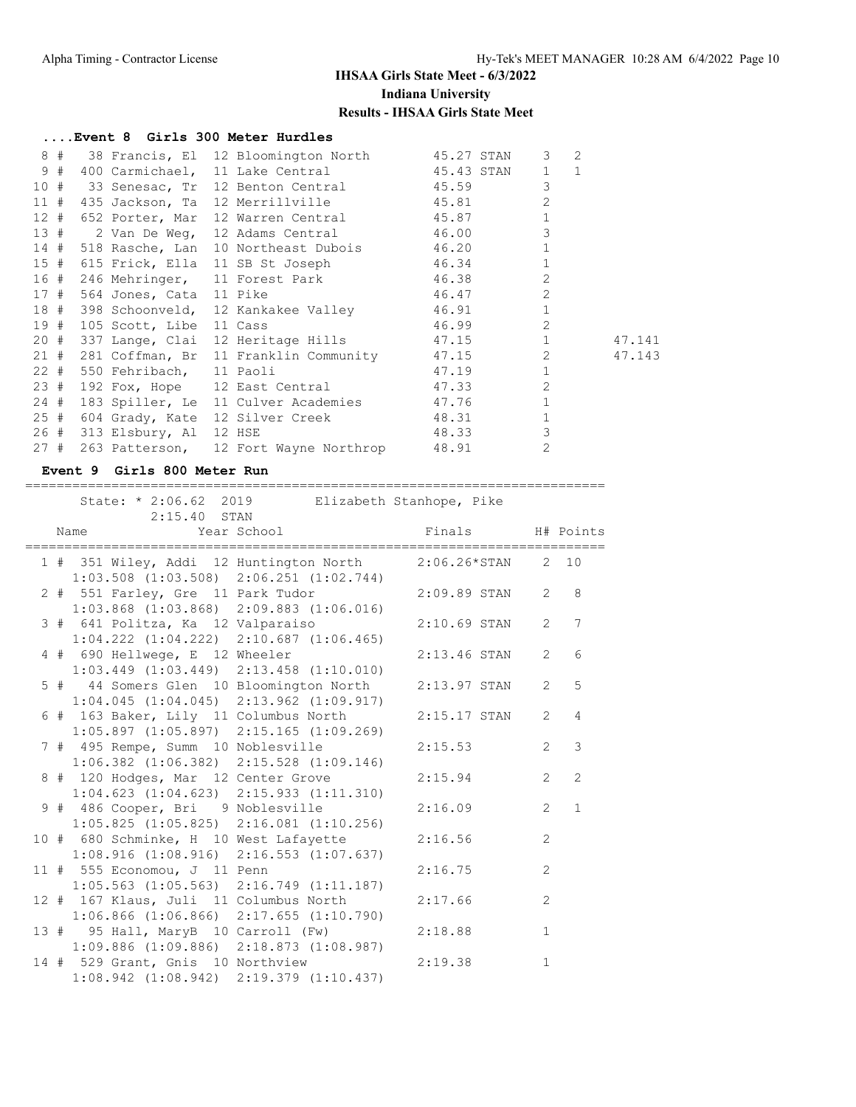|      | Event 8 Girls 300 Meter Hurdles |                                                                      |       |                |        |
|------|---------------------------------|----------------------------------------------------------------------|-------|----------------|--------|
| 8#   |                                 | 38 Francis, El 12 Bloomington North 45.27 STAN 3                     |       |                | 2      |
| 9#   |                                 | 400 Carmichael, 11 Lake Central 45.43 STAN 1 1                       |       |                |        |
|      |                                 | 10 # 33 Senesac, Tr 12 Benton Central 45.59                          |       | 3              |        |
| 11#  |                                 | 435 Jackson, Ta 12 Merrillville 45.81                                |       | $\overline{2}$ |        |
| 12#  |                                 | 652 Porter, Mar 12 Warren Central 45.87                              |       | $\mathbf{1}$   |        |
| 13#  | 2 Van De Weq,                   | 12 Adams Central 46.00                                               |       | 3              |        |
| 14#  |                                 | 518 Rasche, Lan 10 Northeast Dubois 46.20                            |       | $\mathbf{1}$   |        |
| 15#  |                                 | 615 Frick, Ella 11 SB St Joseph 46.34                                |       | $\mathbf{1}$   |        |
| 16 # |                                 | 246 Mehringer, 11 Forest Park 16.38<br>564 Jones, Cata 11 Pike 16.47 |       | $\overline{2}$ |        |
| 17#  |                                 |                                                                      |       | $\overline{2}$ |        |
| 18 # |                                 | 398 Schoonveld, 12 Kankakee Valley 146.91 1                          |       |                |        |
| 19#  | 105 Scott, Libe 11 Cass         |                                                                      | 46.99 | 2              |        |
| 20#  |                                 | 337 Lange, Clai 12 Heritage Hills 47.15 1                            |       |                | 47.141 |
| 21#  |                                 | 281 Coffman, Br 11 Franklin Community 47.15                          |       | $2^{\circ}$    | 47.143 |
| 22#  | 550 Fehribach, 11 Paoli         |                                                                      | 47.19 | $\mathbf{1}$   |        |
| 23#  |                                 | 192 Fox, Hope 12 East Central 47.33                                  |       | $\overline{2}$ |        |
| 24#  |                                 | 183 Spiller, Le 11 Culver Academies 47.76                            |       | $\mathbf{1}$   |        |
| 25#  |                                 | 604 Grady, Kate 12 Silver Creek 48.31                                |       | $\mathbf 1$    |        |
| 26#  | 313 Elsbury, Al 12 HSE          |                                                                      | 48.33 | 3              |        |
| 27#  |                                 | 263 Patterson, 12 Fort Wayne Northrop 48.91                          |       | $\overline{2}$ |        |

### **Event 9 Girls 800 Meter Run**

 State: \* 2:06.62 2019 Elizabeth Stanhope, Pike 2:15.40 STAN Name Year School Finals H# Points ========================================================================== 1 # 351 Wiley, Addi 12 Huntington North 2:06.26\*STAN 2 10 1:03.508 (1:03.508) 2:06.251 (1:02.744) 2 # 551 Farley, Gre 11 Park Tudor 2:09.89 STAN 2 8 1:03.868 (1:03.868) 2:09.883 (1:06.016) 3 # 641 Politza, Ka 12 Valparaiso 2:10.69 STAN 2 7 1:04.222 (1:04.222) 2:10.687 (1:06.465) 4 # 690 Hellwege, E 12 Wheeler 2:13.46 STAN 2 6 1:03.449 (1:03.449) 2:13.458 (1:10.010) 5 # 44 Somers Glen 10 Bloomington North 2:13.97 STAN 2 5 1:04.045 (1:04.045) 2:13.962 (1:09.917) 6 # 163 Baker, Lily 11 Columbus North 2:15.17 STAN 2 4 1:05.897 (1:05.897) 2:15.165 (1:09.269) 7 # 495 Rempe, Summ 10 Noblesville 2:15.53 2 3 1:06.382 (1:06.382) 2:15.528 (1:09.146) 8 # 120 Hodges, Mar 12 Center Grove 2:15.94 2 2 1:04.623 (1:04.623) 2:15.933 (1:11.310) 9 # 486 Cooper, Bri 9 Noblesville 2:16.09 2 1 1:05.825 (1:05.825) 2:16.081 (1:10.256) 10 # 680 Schminke, H 10 West Lafayette 2:16.56 2 1:08.916 (1:08.916) 2:16.553 (1:07.637) 11 # 555 Economou, J 11 Penn 2:16.75 2 1:05.563 (1:05.563) 2:16.749 (1:11.187) 12 # 167 Klaus, Juli 11 Columbus North 2:17.66 2 1:06.866 (1:06.866) 2:17.655 (1:10.790) 13 # 95 Hall, MaryB 10 Carroll (Fw) 2:18.88 1 1:09.886 (1:09.886) 2:18.873 (1:08.987) 14 # 529 Grant, Gnis 10 Northview 2:19.38 1 1:08.942 (1:08.942) 2:19.379 (1:10.437)

==========================================================================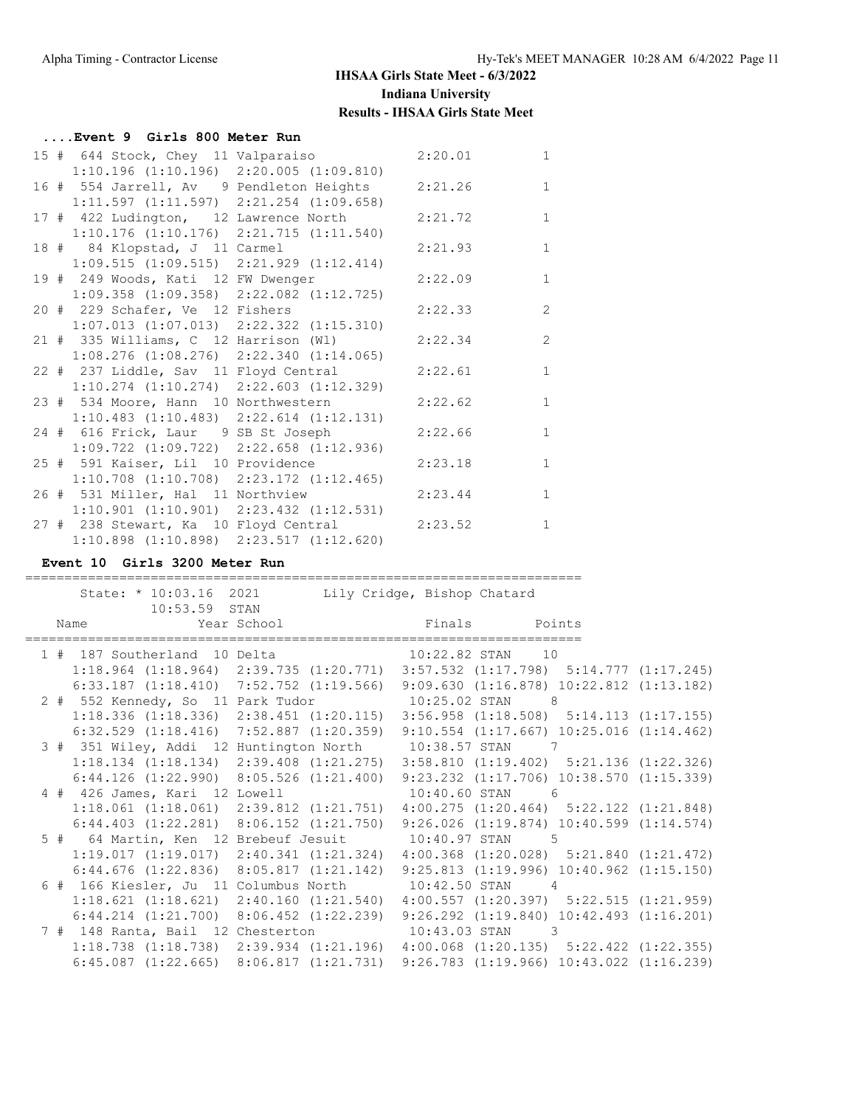| Event 9 Girls 800 Meter Run                      |                                                 |         |              |
|--------------------------------------------------|-------------------------------------------------|---------|--------------|
| 15 # 644 Stock, Chey 11 Valparaiso 2:20.01       |                                                 |         | $\mathbf{1}$ |
|                                                  | $1:10.196$ $(1:10.196)$ $2:20.005$ $(1:09.810)$ |         |              |
| 16 # 554 Jarrell, Av 9 Pendleton Heights 2:21.26 |                                                 |         | $\mathbf{1}$ |
|                                                  | $1:11.597$ $(1:11.597)$ $2:21.254$ $(1:09.658)$ |         |              |
| 17 # 422 Ludington, 12 Lawrence North 2:21.72    |                                                 |         | $\mathbf{1}$ |
| $1:10.176$ $(1:10.176)$ $2:21.715$ $(1:11.540)$  |                                                 |         |              |
| 18 # 84 Klopstad, J 11 Carmel                    |                                                 | 2:21.93 | $\mathbf{1}$ |
| $1:09.515$ $(1:09.515)$ $2:21.929$ $(1:12.414)$  |                                                 |         |              |
| 19 # 249 Woods, Kati 12 FW Dwenger               |                                                 | 2:22.09 | $\mathbf{1}$ |
| $1:09.358$ $(1:09.358)$ $2:22.082$ $(1:12.725)$  |                                                 |         |              |
| 20 # 229 Schafer, Ve 12 Fishers                  |                                                 | 2:22.33 | 2            |
| $1:07.013$ $(1:07.013)$ $2:22.322$ $(1:15.310)$  |                                                 |         |              |
| 21 # 335 Williams, C 12 Harrison (Wl)            |                                                 | 2:22.34 | 2            |
| $1:08.276$ $(1:08.276)$ $2:22.340$ $(1:14.065)$  |                                                 |         |              |
| 22 # 237 Liddle, Sav 11 Floyd Central            |                                                 | 2:22.61 | $\mathbf{1}$ |
| $1:10.274$ $(1:10.274)$ $2:22.603$ $(1:12.329)$  |                                                 |         |              |
| 23 # 534 Moore, Hann 10 Northwestern             |                                                 | 2:22.62 | $\mathbf{1}$ |
| $1:10.483$ $(1:10.483)$ $2:22.614$ $(1:12.131)$  |                                                 |         |              |
| 24 # 616 Frick, Laur 9 SB St Joseph              |                                                 | 2:22.66 | $\mathbf{1}$ |
| $1:09.722$ $(1:09.722)$ $2:22.658$ $(1:12.936)$  |                                                 |         |              |
| 25 # 591 Kaiser, Lil 10 Providence               |                                                 | 2:23.18 | $\mathbf{1}$ |
| $1:10.708$ $(1:10.708)$ $2:23.172$ $(1:12.465)$  |                                                 |         |              |
| 26 # 531 Miller, Hal 11 Northview                |                                                 | 2:23.44 | $\mathbf{1}$ |
| $1:10.901$ $(1:10.901)$ $2:23.432$ $(1:12.531)$  |                                                 |         |              |
| 27 # 238 Stewart, Ka 10 Floyd Central 2:23.52    |                                                 |         | $\mathbf{1}$ |
| $1:10.898$ $(1:10.898)$ $2:23.517$ $(1:12.620)$  |                                                 |         |              |

=======================================================================

### **Event 10 Girls 3200 Meter Run**

State: \* 10:03.16 2021 Lily Cridge, Bishop Chatard 10:53.59 STAN Name Year School Finals Points ======================================================================= 1 # 187 Southerland 10 Delta 10:22.82 STAN 10 1:18.964 (1:18.964) 2:39.735 (1:20.771) 3:57.532 (1:17.798) 5:14.777 (1:17.245) 6:33.187 (1:18.410) 7:52.752 (1:19.566) 9:09.630 (1:16.878) 10:22.812 (1:13.182) 2 # 552 Kennedy, So 11 Park Tudor 10:25.02 STAN 8 1:18.336 (1:18.336) 2:38.451 (1:20.115) 3:56.958 (1:18.508) 5:14.113 (1:17.155) 6:32.529 (1:18.416) 7:52.887 (1:20.359) 9:10.554 (1:17.667) 10:25.016 (1:14.462) 3 # 351 Wiley, Addi 12 Huntington North 10:38.57 STAN 7 1:18.134 (1:18.134) 2:39.408 (1:21.275) 3:58.810 (1:19.402) 5:21.136 (1:22.326) 6:44.126 (1:22.990) 8:05.526 (1:21.400) 9:23.232 (1:17.706) 10:38.570 (1:15.339) 4 # 426 James, Kari 12 Lowell 10:40.60 STAN 6 1:18.061 (1:18.061) 2:39.812 (1:21.751) 4:00.275 (1:20.464) 5:22.122 (1:21.848) 6:44.403 (1:22.281) 8:06.152 (1:21.750) 9:26.026 (1:19.874) 10:40.599 (1:14.574) 5 # 64 Martin, Ken 12 Brebeuf Jesuit 10:40.97 STAN 5 1:19.017 (1:19.017) 2:40.341 (1:21.324) 4:00.368 (1:20.028) 5:21.840 (1:21.472) 6:44.676 (1:22.836) 8:05.817 (1:21.142) 9:25.813 (1:19.996) 10:40.962 (1:15.150) 6 # 166 Kiesler, Ju 11 Columbus North 10:42.50 STAN 4 1:18.621 (1:18.621) 2:40.160 (1:21.540) 4:00.557 (1:20.397) 5:22.515 (1:21.959) 6:44.214 (1:21.700) 8:06.452 (1:22.239) 9:26.292 (1:19.840) 10:42.493 (1:16.201) 7 # 148 Ranta, Bail 12 Chesterton 10:43.03 STAN 3 1:18.738 (1:18.738) 2:39.934 (1:21.196) 4:00.068 (1:20.135) 5:22.422 (1:22.355) 6:45.087 (1:22.665) 8:06.817 (1:21.731) 9:26.783 (1:19.966) 10:43.022 (1:16.239)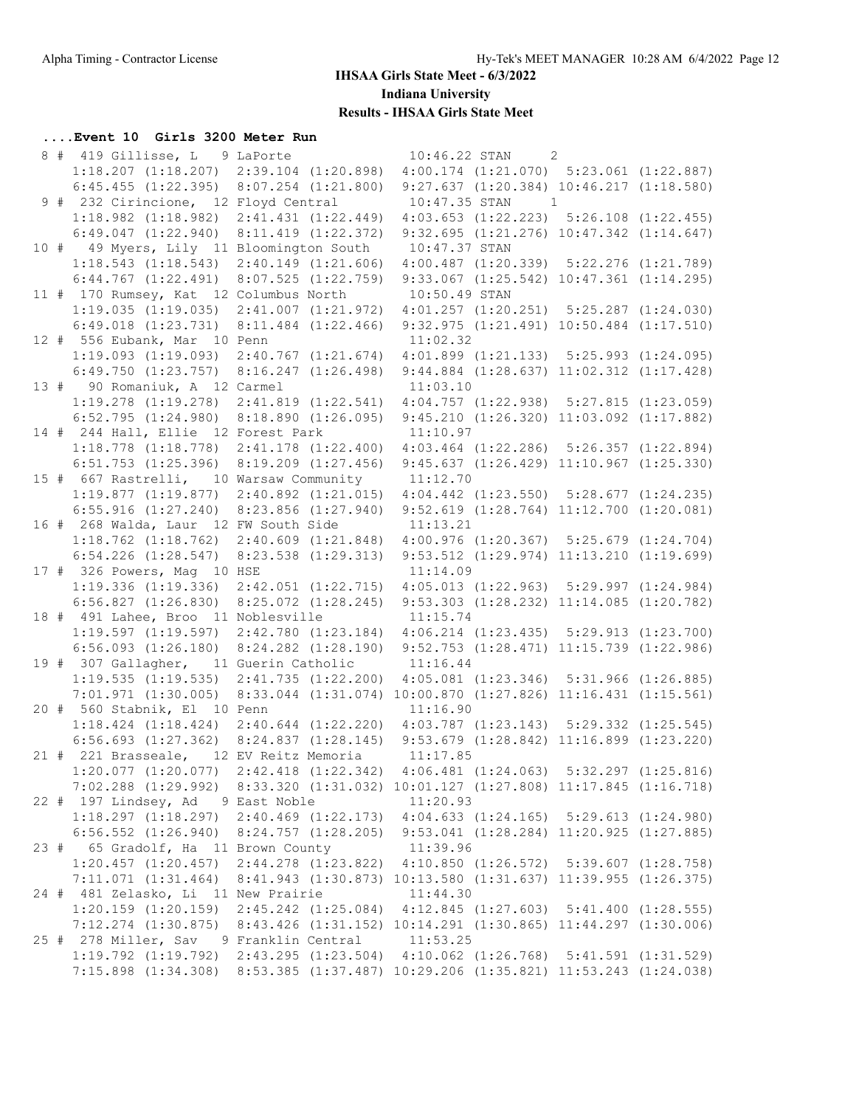### **....Event 10 Girls 3200 Meter Run**

|  | 8 # 419 Gillisse, L 9 LaPorte                                                                    |          | $\overline{2}$<br>10:46.22 STAN                                                          |  |
|--|--------------------------------------------------------------------------------------------------|----------|------------------------------------------------------------------------------------------|--|
|  | 1:18.207 (1:18.207) 2:39.104 (1:20.898) 4:00.174 (1:21.070) 5:23.061 (1:22.887)                  |          |                                                                                          |  |
|  | 6:45.455 (1:22.395) 8:07.254 (1:21.800) 9:27.637 (1:20.384) 10:46.217 (1:18.580)                 |          |                                                                                          |  |
|  | 9 # 232 Cirincione, 12 Floyd Central                                                             |          | $10:47.35$ STAN<br>$\overline{1}$                                                        |  |
|  | $1:18.982$ $(1:18.982)$ $2:41.431$ $(1:22.449)$                                                  |          | $4:03.653$ $(1:22.223)$ $5:26.108$ $(1:22.455)$                                          |  |
|  | $6:49.047$ $(1:22.940)$ $8:11.419$ $(1:22.372)$                                                  |          | $9:32.695$ $(1:21.276)$ $10:47.342$ $(1:14.647)$                                         |  |
|  | 10 # 49 Myers, Lily 11 Bloomington South                                                         |          | 10:47.37 STAN                                                                            |  |
|  | $1:18.543$ $(1:18.543)$ $2:40.149$ $(1:21.606)$                                                  |          | $4:00.487$ $(1:20.339)$ $5:22.276$ $(1:21.789)$                                          |  |
|  | $6:44.767$ $(1:22.491)$ $8:07.525$ $(1:22.759)$                                                  |          | $9:33.067$ $(1:25.542)$ $10:47.361$ $(1:14.295)$                                         |  |
|  | 11 # 170 Rumsey, Kat 12 Columbus North                                                           |          | 10:50.49 STAN                                                                            |  |
|  | 1:19.035 (1:19.035) 2:41.007 (1:21.972) 4:01.257 (1:20.251) 5:25.287 (1:24.030)                  |          |                                                                                          |  |
|  | 6:49.018 (1:23.731) 8:11.484 (1:22.466) 9:32.975 (1:21.491) 10:50.484 (1:17.510)                 |          |                                                                                          |  |
|  | 12 # 556 Eubank, Mar 10 Penn                                                                     | 11:02.32 |                                                                                          |  |
|  | 1:19.093 (1:19.093) 2:40.767 (1:21.674) 4:01.899 (1:21.133) 5:25.993 (1:24.095)                  |          |                                                                                          |  |
|  |                                                                                                  |          | 6:49.750 $(1:23.757)$ 8:16.247 $(1:26.498)$ 9:44.884 $(1:28.637)$ 11:02.312 $(1:17.428)$ |  |
|  | 13 # 90 Romaniuk, A 12 Carmel                                                                    |          | 11:03.10                                                                                 |  |
|  | 1:19.278 (1:19.278) 2:41.819 (1:22.541) 4:04.757 (1:22.938) 5:27.815 (1:23.059)                  |          |                                                                                          |  |
|  | $6:52.795$ $(1:24.980)$ $8:18.890$ $(1:26.095)$ $9:45.210$ $(1:26.320)$ $11:03.092$ $(1:17.882)$ |          |                                                                                          |  |
|  | 14 # 244 Hall, Ellie 12 Forest Park                                                              |          | 11:10.97                                                                                 |  |
|  | 1:18.778 (1:18.778) 2:41.178 (1:22.400) 4:03.464 (1:22.286) 5:26.357 (1:22.894)                  |          |                                                                                          |  |
|  | $6:51.753$ $(1:25.396)$ $8:19.209$ $(1:27.456)$                                                  |          | $9:45.637$ $(1:26.429)$ $11:10.967$ $(1:25.330)$                                         |  |
|  | 15 # 667 Rastrelli, 10 Warsaw Community                                                          |          | 11:12.70                                                                                 |  |
|  | 1:19.877 (1:19.877) 2:40.892 (1:21.015) 4:04.442 (1:23.550) 5:28.677 (1:24.235)                  |          |                                                                                          |  |
|  | $6:55.916$ $(1:27.240)$ $8:23.856$ $(1:27.940)$ $9:52.619$ $(1:28.764)$ $11:12.700$ $(1:20.081)$ |          |                                                                                          |  |
|  | 16 # 268 Walda, Laur 12 FW South Side                                                            |          | 11:13.21                                                                                 |  |
|  | 1:18.762 (1:18.762) 2:40.609 (1:21.848) 4:00.976 (1:20.367) 5:25.679 (1:24.704)                  |          |                                                                                          |  |
|  | $6:54.226$ $(1:28.547)$                                                                          |          | 8:23.538 (1:29.313) 9:53.512 (1:29.974) 11:13.210 (1:19.699)                             |  |
|  | 17 # 326 Powers, Mag 10 HSE                                                                      |          | 11:14.09                                                                                 |  |
|  | 1:19.336 (1:19.336) 2:42.051 (1:22.715) 4:05.013 (1:22.963) 5:29.997 (1:24.984)                  |          |                                                                                          |  |
|  | 6:56.827 (1:26.830) 8:25.072 (1:28.245) 9:53.303 (1:28.232) 11:14.085 (1:20.782)                 |          |                                                                                          |  |
|  | 18 # 491 Lahee, Broo 11 Noblesville                                                              |          | 11:15.74                                                                                 |  |
|  |                                                                                                  |          |                                                                                          |  |
|  | 1:19.597 (1:19.597) 2:42.780 (1:23.184) 4:06.214 (1:23.435) 5:29.913 (1:23.700)                  |          |                                                                                          |  |
|  | 6:56.093 (1:26.180) 8:24.282 (1:28.190) 9:52.753 (1:28.471) 11:15.739 (1:22.986)                 |          |                                                                                          |  |
|  | 19 # 307 Gallagher, 11 Guerin Catholic 11:16.44                                                  |          |                                                                                          |  |
|  | 1:19.535 (1:19.535) 2:41.735 (1:22.200) 4:05.081 (1:23.346) 5:31.966 (1:26.885)                  |          |                                                                                          |  |
|  | 7:01.971 (1:30.005) 8:33.044 (1:31.074) 10:00.870 (1:27.826) 11:16.431 (1:15.561)                |          |                                                                                          |  |
|  | 20 # 560 Stabnik, El 10 Penn                                                                     |          | 11:16.90                                                                                 |  |
|  | 1:18.424 (1:18.424) 2:40.644 (1:22.220) 4:03.787 (1:23.143) 5:29.332 (1:25.545)                  |          |                                                                                          |  |
|  |                                                                                                  |          | 6:56.693 (1:27.362) 8:24.837 (1:28.145) 9:53.679 (1:28.842) 11:16.899 (1:23.220)         |  |
|  | 21 # 221 Brasseale, 12 EV Reitz Memoria 11:17.85                                                 |          |                                                                                          |  |
|  | 1:20.077 (1:20.077) 2:42.418 (1:22.342) 4:06.481 (1:24.063) 5:32.297 (1:25.816)                  |          |                                                                                          |  |
|  | 7:02.288 (1:29.992) 8:33.320 (1:31.032) 10:01.127 (1:27.808) 11:17.845 (1:16.718)                |          |                                                                                          |  |
|  | 22 # 197 Lindsey, Ad 9 East Noble                                                                |          | 11:20.93                                                                                 |  |
|  | 1:18.297 (1:18.297) 2:40.469 (1:22.173) 4:04.633 (1:24.165) 5:29.613 (1:24.980)                  |          |                                                                                          |  |
|  |                                                                                                  |          | 6:56.552 $(1:26.940)$ 8:24.757 $(1:28.205)$ 9:53.041 $(1:28.284)$ 11:20.925 $(1:27.885)$ |  |
|  | 23 # 65 Gradolf, Ha 11 Brown County                                                              |          | 11:39.96                                                                                 |  |
|  | 1:20.457 (1:20.457) 2:44.278 (1:23.822) 4:10.850 (1:26.572) 5:39.607 (1:28.758)                  |          |                                                                                          |  |
|  | 7:11.071 (1:31.464) 8:41.943 (1:30.873) 10:13.580 (1:31.637) 11:39.955 (1:26.375)                |          |                                                                                          |  |
|  | 24 # 481 Zelasko, Li 11 New Prairie                                                              |          | 11:44.30                                                                                 |  |
|  | $1:20.159$ $(1:20.159)$ $2:45.242$ $(1:25.084)$ $4:12.845$ $(1:27.603)$ $5:41.400$ $(1:28.555)$  |          |                                                                                          |  |
|  | 7:12.274 (1:30.875) 8:43.426 (1:31.152) 10:14.291 (1:30.865) 11:44.297 (1:30.006)                |          |                                                                                          |  |
|  | 25 # 278 Miller, Sav 9 Franklin Central 11:53.25                                                 |          |                                                                                          |  |
|  | 1:19.792 (1:19.792) 2:43.295 (1:23.504) 4:10.062 (1:26.768) 5:41.591 (1:31.529)                  |          |                                                                                          |  |
|  | 7:15.898 (1:34.308) 8:53.385 (1:37.487) 10:29.206 (1:35.821) 11:53.243 (1:24.038)                |          |                                                                                          |  |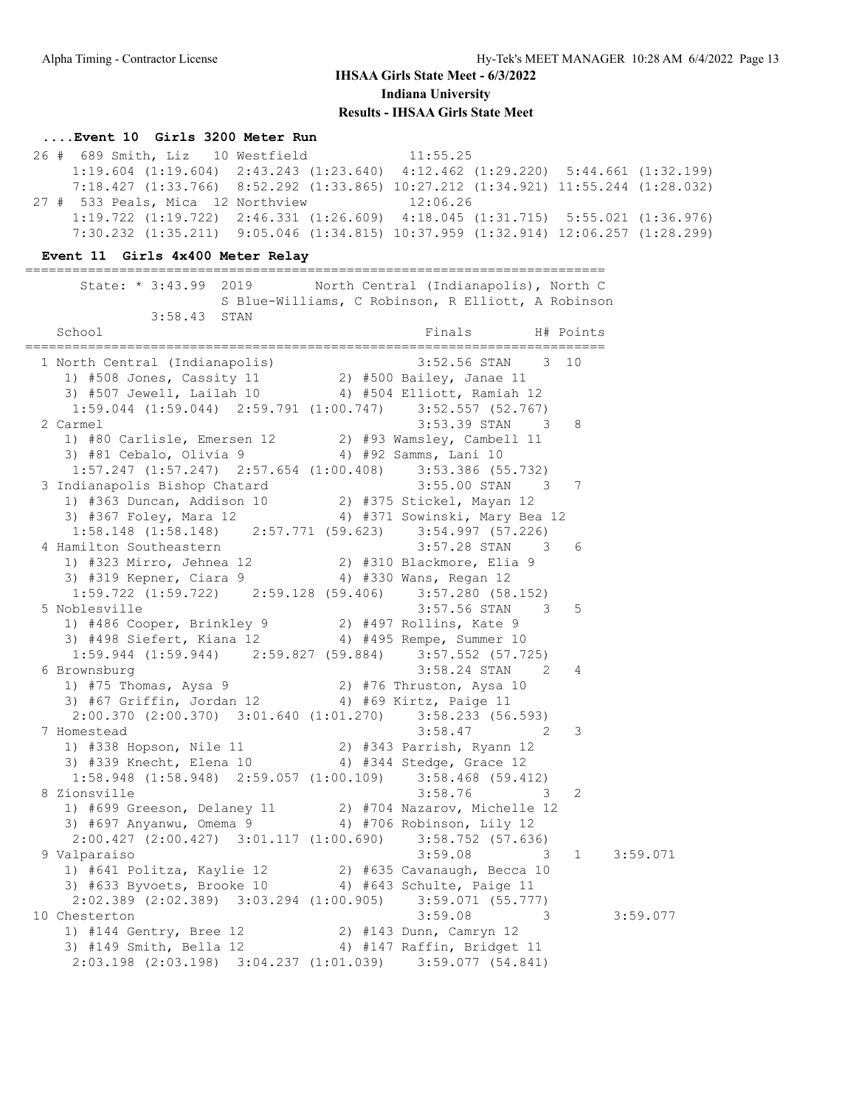### **....Event 10 Girls 3200 Meter Run**

 26 # 689 Smith, Liz 10 Westfield 11:55.25 1:19.604 (1:19.604) 2:43.243 (1:23.640) 4:12.462 (1:29.220) 5:44.661 (1:32.199) 7:18.427 (1:33.766) 8:52.292 (1:33.865) 10:27.212 (1:34.921) 11:55.244 (1:28.032) 27 # 533 Peals, Mica 12 Northview 12:06.26 1:19.722 (1:19.722) 2:46.331 (1:26.609) 4:18.045 (1:31.715) 5:55.021 (1:36.976) 7:30.232 (1:35.211) 9:05.046 (1:34.815) 10:37.959 (1:32.914) 12:06.257 (1:28.299)

==========================================================================

#### **Event 11 Girls 4x400 Meter Relay**

| State: * 3:43.99 2019 North Central (Indianapolis), North C                                                                                                     |  | S Blue-Williams, C Robinson, R Elliott, A Robinson |                  |                        |          |
|-----------------------------------------------------------------------------------------------------------------------------------------------------------------|--|----------------------------------------------------|------------------|------------------------|----------|
| 3:58.43 STAN                                                                                                                                                    |  |                                                    |                  |                        |          |
| School                                                                                                                                                          |  |                                                    | Finals H# Points |                        |          |
| 1 North Central (Indianapolis)<br>1) #508 Jones, Cassity 11 2) #500 Bailey, Janae 11<br>3) #507 Jewell, Lailah 10 4) #504 Elliott, Ramiah 12                    |  | 3:52.56 STAN 3 10                                  |                  |                        |          |
| $1:59.044$ $(1:59.044)$ $2:59.791$ $(1:00.747)$ $3:52.557$ $(52.767)$                                                                                           |  |                                                    |                  |                        |          |
| 2 Carmel                                                                                                                                                        |  | $3:53.39$ STAN 3                                   |                  | 8                      |          |
| 1) #80 Carlisle, Emersen 12 2) #93 Wamsley, Cambell 11                                                                                                          |  |                                                    |                  |                        |          |
| 3) #81 Cebalo, Olivia 9 $\overline{4}$ #92 Samms, Lani 10                                                                                                       |  |                                                    |                  |                        |          |
| 1:57.247 (1:57.247) 2:57.654 (1:00.408) 3:53.386 (55.732)<br>indianapolis Bishop Chatard 3:55.00 STAN 3<br>1) #363 Duncan, Addison 10 2) #375 Stickel, Mayan 12 |  |                                                    |                  |                        |          |
| 3 Indianapolis Bishop Chatard                                                                                                                                   |  |                                                    |                  | 7                      |          |
|                                                                                                                                                                 |  |                                                    |                  |                        |          |
| 3) #367 Foley, Mara 12 (4) #371 Sowinski, Mary Bea 12<br>1:58.148 (1:58.148) 2:57.771 (59.623) 3:54.997 (57.226)                                                |  |                                                    |                  |                        |          |
|                                                                                                                                                                 |  |                                                    |                  |                        |          |
| 4 Hamilton Southeastern                                                                                                                                         |  |                                                    | 3:57.28 STAN 3   | 6                      |          |
| 1) #323 Mirro, Jehnea 12<br>3) #319 Kepner, Ciara 9 (4) #310 Blackmore, Elia 9<br>3) #319 Kepner, Ciara 9 (4) #330 Wans, Regan 12                               |  |                                                    |                  |                        |          |
|                                                                                                                                                                 |  |                                                    |                  |                        |          |
| $1:59.722$ $(1:59.722)$ $2:59.128$ $(59.406)$ $3:57.280$ $(58.152)$                                                                                             |  |                                                    |                  |                        |          |
| 5 Noblesville                                                                                                                                                   |  | $3:57.56$ STAN 3                                   |                  | -5                     |          |
|                                                                                                                                                                 |  |                                                    |                  |                        |          |
| 3) #498 Siefert, Kiana 12 4) #495 Rempe, Summer 10                                                                                                              |  |                                                    |                  |                        |          |
| $1:59.944$ $(1:59.944)$ $2:59.827$ $(59.884)$ $3:57.552$ $(57.725)$                                                                                             |  |                                                    |                  |                        |          |
| 6 Brownsburg                                                                                                                                                    |  |                                                    | $3:58.24$ STAN 2 | 4                      |          |
| 1) #75 Thomas, Aysa 9<br>3) #67 Griffin, Jordan 12 4) #69 Kirtz, Paige 11                                                                                       |  |                                                    |                  |                        |          |
|                                                                                                                                                                 |  |                                                    |                  |                        |          |
| $2:00.370$ $(2:00.370)$ $3:01.640$ $(1:01.270)$ $3:58.233$ $(56.593)$                                                                                           |  |                                                    |                  |                        |          |
| 7 Homestead                                                                                                                                                     |  |                                                    | $3:58.47$ 2      | 3                      |          |
| 1) #338 Hopson, Nile 11 2) #343 Parrish, Ryann 12<br>3) #339 Knecht, Elena 10 4) #344 Stedge, Grace 12                                                          |  |                                                    |                  |                        |          |
|                                                                                                                                                                 |  |                                                    |                  |                        |          |
| $1:58.948$ $(1:58.948)$ $2:59.057$ $(1:00.109)$ $3:58.468$ $(59.412)$                                                                                           |  |                                                    |                  |                        |          |
| 8 Zionsville                                                                                                                                                    |  | $3:58.76$ 3                                        |                  | 2                      |          |
| 1) #699 Greeson, Delaney 11 2) #704 Nazarov, Michelle 12                                                                                                        |  |                                                    |                  |                        |          |
| 3) #697 Anyanwu, Omema 9 4) #706 Robinson, Lily 12                                                                                                              |  |                                                    |                  |                        |          |
| $2:00.427$ (2:00.427) $3:01.117$ (1:00.690) $3:58.752$ (57.636)                                                                                                 |  |                                                    |                  |                        |          |
| 9 Valparaiso                                                                                                                                                    |  |                                                    | $3:59.08$ 3      | $1 \quad \blacksquare$ | 3:59.071 |
| 1) #641 Politza, Kaylie 12 2) #635 Cavanaugh, Becca 10<br>3) #633 Byvoets, Brooke 10 4) #643 Schulte, Paige 11                                                  |  |                                                    |                  |                        |          |
|                                                                                                                                                                 |  |                                                    |                  |                        |          |
| $2:02.389$ $(2:02.389)$ $3:03.294$ $(1:00.905)$ $3:59.071$ $(55.777)$                                                                                           |  |                                                    |                  |                        |          |
| 10 Chesterton                                                                                                                                                   |  |                                                    | $3:59.08$ 3      |                        | 3:59.077 |
| 1) #144 Gentry, Bree 12<br>3) #149 Smith, Bella 12 (4) #147 Raffin, Bridget 11                                                                                  |  |                                                    |                  |                        |          |
|                                                                                                                                                                 |  |                                                    |                  |                        |          |
| $2:03.198$ (2:03.198) 3:04.237 (1:01.039) 3:59.077 (54.841)                                                                                                     |  |                                                    |                  |                        |          |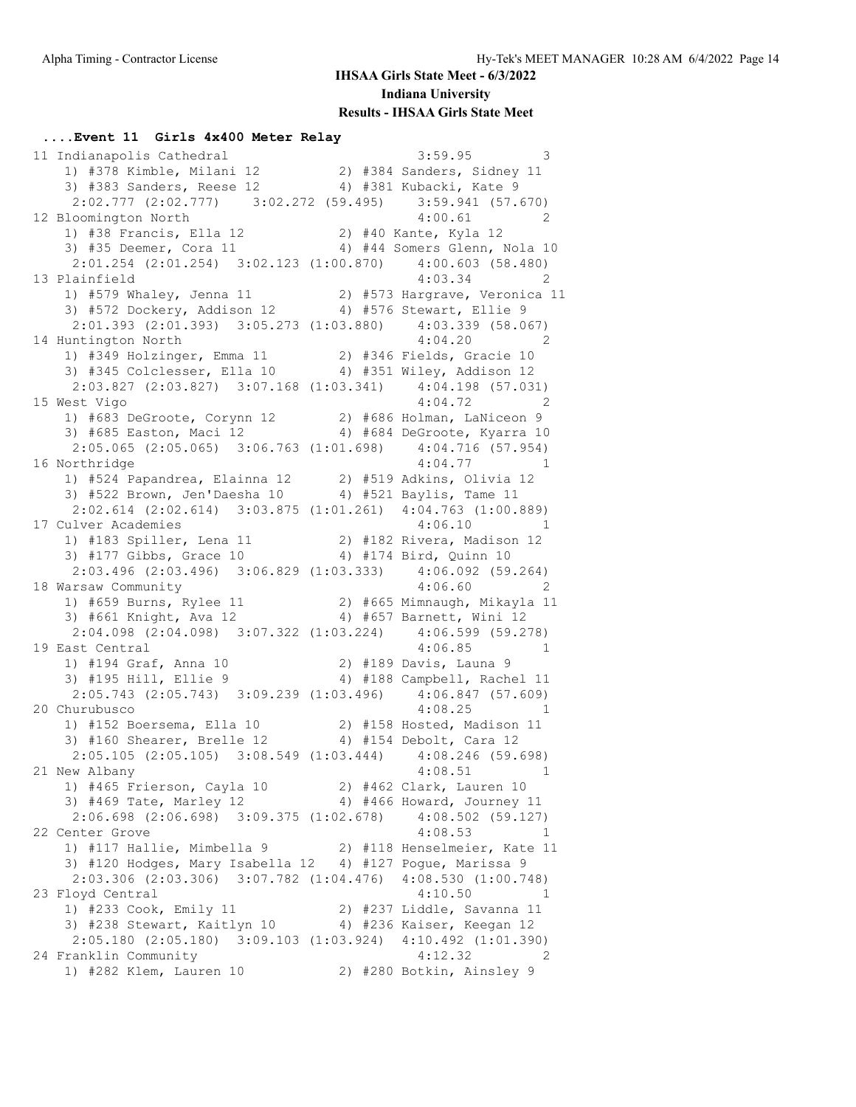#### **....Event 11 Girls 4x400 Meter Relay**

11 Indianapolis Cathedral 3:59.95 3 1) #378 Kimble, Milani 12 2) #384 Sanders, Sidney 11 3) #383 Sanders, Reese 12 4) #381 Kubacki, Kate 9 2:02.777 (2:02.777) 3:02.272 (59.495) 3:59.941 (57.670) 12 Bloomington North 4:00.61 2 1) #38 Francis, Ella 12 2) #40 Kante, Kyla 12 3) #35 Deemer, Cora 11 4) #44 Somers Glenn, Nola 10 2:01.254 (2:01.254) 3:02.123 (1:00.870) 4:00.603 (58.480) 13 Plainfield 4:03.34 2 1) #579 Whaley, Jenna 11 2) #573 Hargrave, Veronica 11 3) #572 Dockery, Addison 12 4) #576 Stewart, Ellie 9 2:01.393 (2:01.393) 3:05.273 (1:03.880) 4:03.339 (58.067) 14 Huntington North 4:04.20 2 1) #349 Holzinger, Emma 11 2) #346 Fields, Gracie 10 3) #345 Colclesser, Ella 10 4) #351 Wiley, Addison 12 2:03.827 (2:03.827) 3:07.168 (1:03.341) 4:04.198 (57.031) 15 West Vigo 4:04.72 2 1) #683 DeGroote, Corynn 12 2) #686 Holman, LaNiceon 9 3) #685 Easton, Maci 12 4) #684 DeGroote, Kyarra 10 2:05.065 (2:05.065) 3:06.763 (1:01.698) 4:04.716 (57.954) 16 Northridge 2:04.77 1 1) #524 Papandrea, Elainna 12 2) #519 Adkins, Olivia 12 3) #522 Brown, Jen'Daesha 10 4) #521 Baylis, Tame 11 2:02.614 (2:02.614) 3:03.875 (1:01.261) 4:04.763 (1:00.889)<br>17 Culver Academies 4:06.10 1 17 Culver Academies 4:06.10 1 1) #183 Spiller, Lena 11 2) #182 Rivera, Madison 12 3) #177 Gibbs, Grace 10 4) #174 Bird, Quinn 10 2:03.496 (2:03.496) 3:06.829 (1:03.333) 4:06.092 (59.264) 18 Warsaw Community 4:06.60 2 1) #659 Burns, Rylee 11 2) #665 Mimnaugh, Mikayla 11 3) #661 Knight, Ava 12 4) #657 Barnett, Wini 12 2:04.098 (2:04.098) 3:07.322 (1:03.224) 4:06.599 (59.278) 19 East Central 4:06.85 1 1) #194 Graf, Anna 10 2) #189 Davis, Launa 9 3) #195 Hill, Ellie 9 4) #188 Campbell, Rachel 11 2:05.743 (2:05.743) 3:09.239 (1:03.496) 4:06.847 (57.609) 20 Churubusco 4:08.25 1 1) #152 Boersema, Ella 10 2) #158 Hosted, Madison 11 3) #160 Shearer, Brelle 12 4) #154 Debolt, Cara 12 2:05.105 (2:05.105) 3:08.549 (1:03.444) 4:08.246 (59.698) 21 New Albany 1 21 New Albany 1 21 New Albany 1) #465 Frierson, Cayla 10 2) #462 Clark, Lauren 10 3) #469 Tate, Marley 12 4) #466 Howard, Journey 11 2:06.698 (2:06.698) 3:09.375 (1:02.678) 4:08.502 (59.127)<br>enter Grove 4:08.53 1 22 Center Grove 22 Center 6 and 1 1) #117 Hallie, Mimbella 9 2) #118 Henselmeier, Kate 11 3) #120 Hodges, Mary Isabella 12 4) #127 Pogue, Marissa 9 2:03.306 (2:03.306) 3:07.782 (1:04.476) 4:08.530 (1:00.748) 23 Floyd Central 4:10.50 1 1) #233 Cook, Emily 11 2) #237 Liddle, Savanna 11 3) #238 Stewart, Kaitlyn 10 4) #236 Kaiser, Keegan 12 2:05.180 (2:05.180) 3:09.103 (1:03.924) 4:10.492 (1:01.390) 24 Franklin Community 4:12.32 2 1) #282 Klem, Lauren 10 2) #280 Botkin, Ainsley 9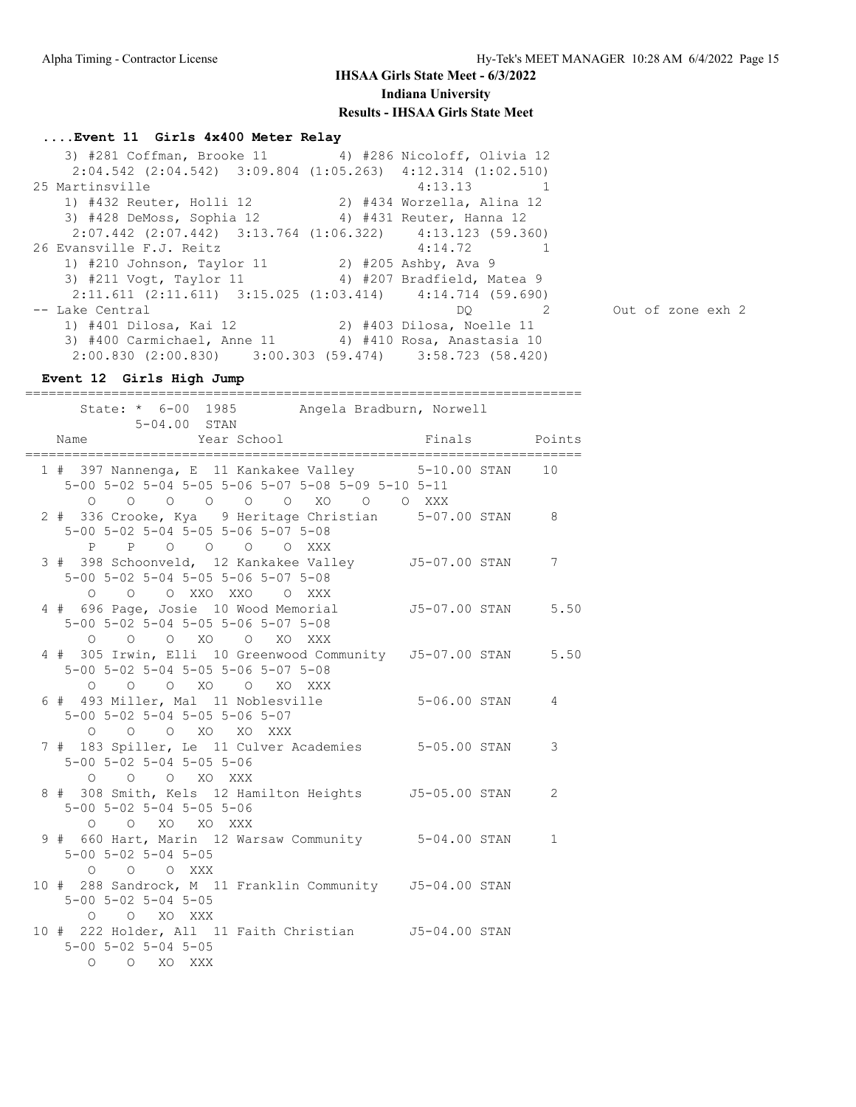### **....Event 11 Girls 4x400 Meter Relay**

| 3) #281 Coffman, Brooke 11 4) #286 Nicoloff, Olivia 12                  |                           |                   |
|-------------------------------------------------------------------------|---------------------------|-------------------|
| $2:04.542$ $(2:04.542)$ $3:09.804$ $(1:05.263)$ $4:12.314$ $(1:02.510)$ |                           |                   |
| 25 Martinsville                                                         | $4:13.13$ 1               |                   |
| 1) #432 Reuter, Holli 12 2) #434 Worzella, Alina 12                     |                           |                   |
| 3) #428 DeMoss, Sophia 12 4) #431 Reuter, Hanna 12                      |                           |                   |
| $2:07.442$ (2:07.442) 3:13.764 (1:06.322) 4:13.123 (59.360)             |                           |                   |
| 26 Evansville F.J. Reitz                                                | $4:14.72$ 1               |                   |
| 1) #210 Johnson, Taylor 11 2) #205 Ashby, Ava 9                         |                           |                   |
| 3) #211 Vogt, Taylor 11 4) #207 Bradfield, Matea 9                      |                           |                   |
| $2:11.611$ $(2:11.611)$ $3:15.025$ $(1:03.414)$ $4:14.714$ $(59.690)$   |                           |                   |
| -- Lake Central                                                         | 2<br>DO.                  | Out of zone exh 2 |
| 1) #401 Dilosa, Kai 12                                                  | 2) #403 Dilosa, Noelle 11 |                   |
| 3) #400 Carmichael, Anne 11 4) #410 Rosa, Anastasia 10                  |                           |                   |
| $2:00.830$ $(2:00.830)$ $3:00.303$ $(59.474)$ $3:58.723$ $(58.420)$     |                           |                   |

# **Event 12 Girls High Jump**

| ==========<br>State: * 6-00 1985 Angela Bradburn, Norwell<br>5-04.00 STAN                                                             |              |
|---------------------------------------------------------------------------------------------------------------------------------------|--------------|
| Year School<br>Finals Points<br>Name<br>-----------------                                                                             |              |
| 1 # 397 Nannenga, E 11 Kankakee Valley 5-10.00 STAN 10<br>5-00 5-02 5-04 5-05 5-06 5-07 5-08 5-09 5-10 5-11<br>0 0 0 0 0 0 XO 0 0 XXX |              |
| 2 # 336 Crooke, Kya 9 Heritage Christian 5-07.00 STAN<br>5-00 5-02 5-04 5-05 5-06 5-07 5-08<br>P P O O O O XXX                        | 8            |
| 3 # 398 Schoonveld, 12 Kankakee Valley 55-07.00 STAN<br>5-00 5-02 5-04 5-05 5-06 5-07 5-08<br>0 0 0 XXO XXO 0 XXX                     | 7            |
| 4 # 696 Page, Josie 10 Wood Memorial 55-07.00 STAN 5.50<br>5-00 5-02 5-04 5-05 5-06 5-07 5-08<br>0 0 0 XO 0 XO XXX                    |              |
| 4 # 305 Irwin, Elli 10 Greenwood Community J5-07.00 STAN 5.50<br>5-00 5-02 5-04 5-05 5-06 5-07 5-08<br>0 0 0 XO 0 XO XXX              |              |
| 6 # 493 Miller, Mal 11 Noblesville<br>5-06.00 STAN<br>5-00 5-02 5-04 5-05 5-06 5-07<br>0 0 0 XO XO XXX                                | 4            |
| 7 # 183 Spiller, Le 11 Culver Academies 5-05.00 STAN<br>$5 - 00$ $5 - 02$ $5 - 04$ $5 - 05$ $5 - 06$<br>O O O XO XXX                  | 3            |
| 8 # 308 Smith, Kels 12 Hamilton Heights 55-05.00 STAN<br>5-00 5-02 5-04 5-05 5-06<br>O O XO XO XXX                                    | 2            |
| 9 # 660 Hart, Marin 12 Warsaw Community 5-04.00 STAN<br>$5 - 00$ $5 - 02$ $5 - 04$ $5 - 05$<br>$O$ $O$ $O$ $XXX$                      | $\mathbf{1}$ |
| 10 # 288 Sandrock, M 11 Franklin Community 55-04.00 STAN<br>$5 - 00$ $5 - 02$ $5 - 04$ $5 - 05$<br>O O XO XXX                         |              |
| 10 # 222 Holder, All 11 Faith Christian 55-04.00 STAN<br>$5 - 00$ $5 - 02$ $5 - 04$ $5 - 05$<br>O O XO XXX                            |              |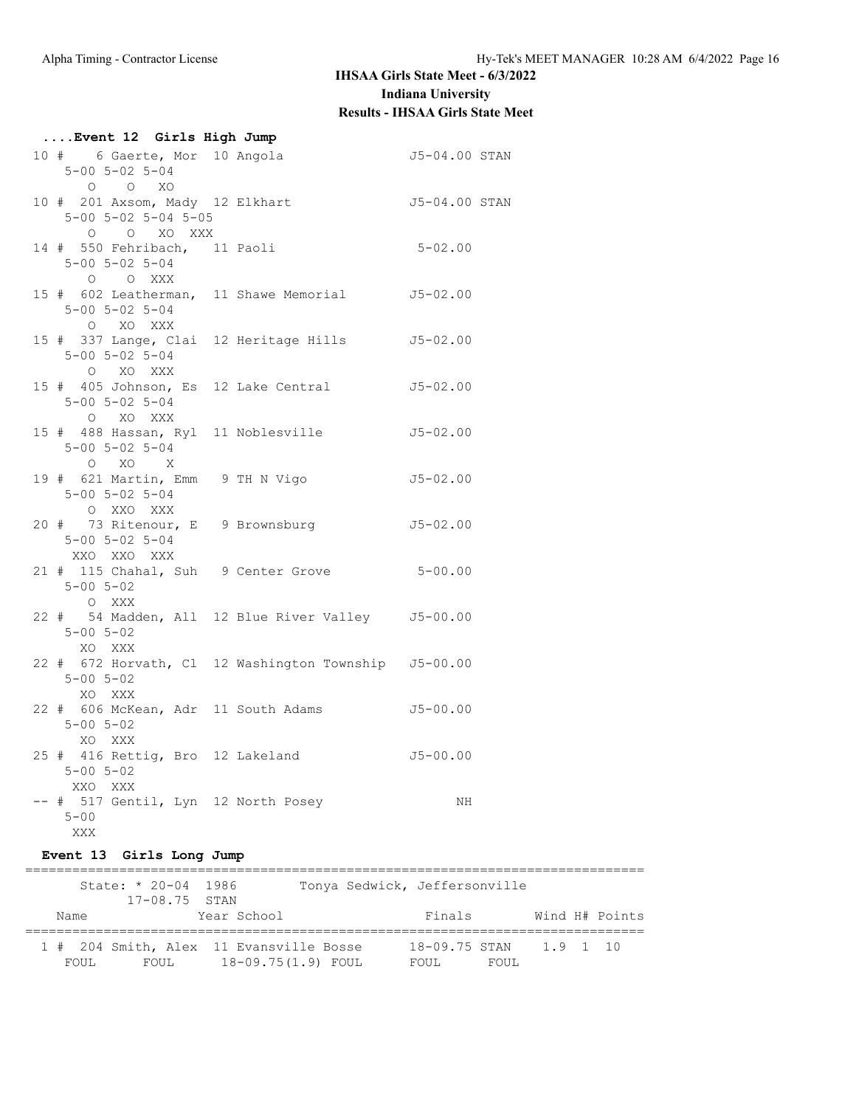| Event 12 Girls High Jump                                             |                                                      |               |
|----------------------------------------------------------------------|------------------------------------------------------|---------------|
| $5 - 00$ $5 - 02$ $5 - 04$<br>$O$ $O$ $XO$                           |                                                      |               |
| 10 # 201 Axsom, Mady 12 Elkhart<br>5-00 5-02 5-04 5-05<br>O O XO XXX |                                                      | J5-04.00 STAN |
| $5 - 00$ $5 - 02$ $5 - 04$<br>O O XXX                                | 14 # 550 Fehribach, 11 Paoli 5-02.00                 |               |
| 5-00 5-02 5-04<br>O XO XXX                                           | 15 # 602 Leatherman, 11 Shawe Memorial 55-02.00      |               |
| $5 - 00$ $5 - 02$ $5 - 04$<br>O XO XXX                               | 15 # 337 Lange, Clai 12 Heritage Hills 55-02.00      |               |
| $5 - 00$ $5 - 02$ $5 - 04$<br>O XO XXX                               | 15 # 405 Johnson, Es 12 Lake Central 55-02.00        |               |
| $5 - 00$ $5 - 02$ $5 - 04$<br>$O$ XO X                               | 15 # 488 Hassan, Ryl 11 Noblesville                  | J5-02.00      |
| $5 - 00$ $5 - 02$ $5 - 04$<br>O XXO XXX                              | 19 # 621 Martin, Emm 9 TH N Vigo 35-02.00            |               |
| $5 - 00$ $5 - 02$ $5 - 04$<br>XXO XXO XXX                            | 20 # 73 Ritenour, E 9 Brownsburg 55-02.00            |               |
| $5 - 00$ $5 - 02$<br>O XXX                                           | 21 # 115 Chahal, Suh 9 Center Grove 5-00.00          |               |
| $5 - 00$ $5 - 02$<br>XO XXX                                          | 22 # 54 Madden, All 12 Blue River Valley J5-00.00    |               |
| $5 - 00$ $5 - 02$<br>XO XXX                                          | 22 # 672 Horvath, Cl 12 Washington Township J5-00.00 |               |
| $5 - 00$ $5 - 02$<br>XO XXX                                          | 22 # 606 McKean, Adr 11 South Adams 55-00.00         |               |
| $5 - 00$ $5 - 02$<br>XXO XXX                                         | 25 # 416 Rettig, Bro 12 Lakeland 55-00.00            |               |
| $5 - 00$<br>XXX                                                      | -- # 517 Gentil, Lyn 12 North Posey                  | NH            |

**Event 13 Girls Long Jump**

|       | State: $* 20 - 04 1986$ |                                         | Tonya Sedwick, Jeffersonville |                        |       |  |                |
|-------|-------------------------|-----------------------------------------|-------------------------------|------------------------|-------|--|----------------|
|       | $17-08.75$ STAN         |                                         |                               |                        |       |  |                |
| Name  |                         | Year School                             |                               | Finals                 |       |  | Wind H# Points |
|       |                         | 1 # 204 Smith, Alex 11 Evansville Bosse |                               | 18-09.75 STAN 1.9 1 10 |       |  |                |
|       |                         |                                         |                               |                        |       |  |                |
| FOUL. | FOUL                    | 18-09.75(1.9) FOUL                      |                               | FOUL.                  | FOUL. |  |                |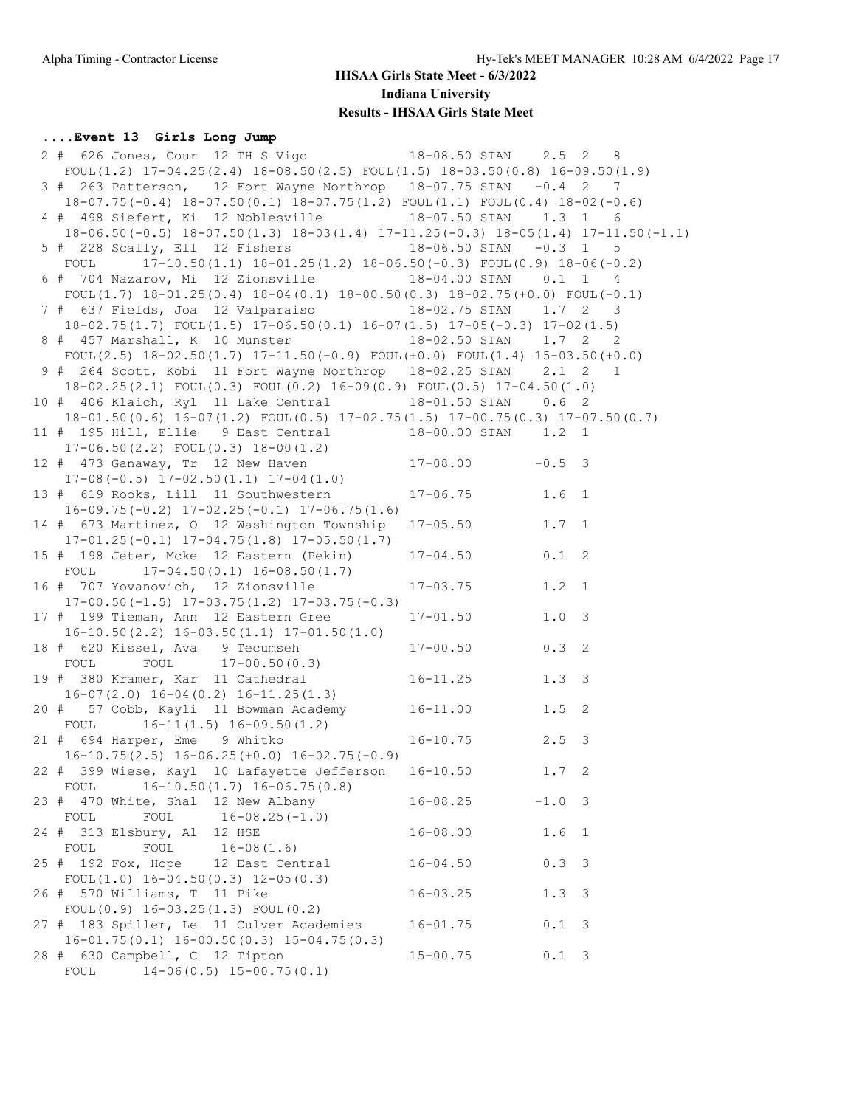### **....Event 13 Girls Long Jump**

| 2 # 626 Jones, Cour 12 TH S Vigo 18-08.50 STAN 2.5 2 8                                       |                     |                  |                         |
|----------------------------------------------------------------------------------------------|---------------------|------------------|-------------------------|
| FOUL(1.2) $17-04.25(2.4)$ $18-08.50(2.5)$ FOUL(1.5) $18-03.50(0.8)$ $16-09.50(1.9)$          |                     |                  |                         |
| 3 # 263 Patterson, 12 Fort Wayne Northrop 18-07.75 STAN -0.4 2 7                             |                     |                  |                         |
| 18-07.75(-0.4) 18-07.50(0.1) 18-07.75(1.2) FOUL(1.1) FOUL(0.4) 18-02(-0.6)                   |                     |                  |                         |
| 4 # 498 Siefert, Ki 12 Noblesville 18-07.50 STAN 1.3 1 6                                     |                     |                  |                         |
| $18-06.50(-0.5)$ $18-07.50(1.3)$ $18-03(1.4)$ $17-11.25(-0.3)$ $18-05(1.4)$ $17-11.50(-1.1)$ |                     |                  |                         |
| 5 # 228 Scally, Ell 12 Fishers 18-06.50 STAN -0.3 1 5                                        |                     |                  |                         |
| FOUL<br>$17-10.50(1.1)$ $18-01.25(1.2)$ $18-06.50(-0.3)$ FOUL $(0.9)$ $18-06(-0.2)$          |                     |                  |                         |
| 6 # 704 Nazarov, Mi 12 Zionsville 18-04.00 STAN 0.1 1 4                                      |                     |                  |                         |
| FOUL(1.7) $18-01.25(0.4)$ $18-04(0.1)$ $18-00.50(0.3)$ $18-02.75(+0.0)$ FOUL(-0.1)           |                     |                  |                         |
| 7 # 637 Fields, Joa 12 Valparaiso 18-02.75 STAN 1.7 2 3                                      |                     |                  |                         |
| $18-02.75(1.7)$ FOUL $(1.5)$ $17-06.50(0.1)$ $16-07(1.5)$ $17-05(-0.3)$ $17-02(1.5)$         |                     |                  |                         |
| 8 # 457 Marshall, K 10 Munster 18-02.50 STAN 1.7 2 2                                         |                     |                  |                         |
|                                                                                              |                     |                  |                         |
| FOUL $(2.5)$ 18-02.50 $(1.7)$ 17-11.50 $(-0.9)$ FOUL $(+0.0)$ FOUL $(1.4)$ 15-03.50 $(+0.0)$ |                     |                  |                         |
| 9 # 264 Scott, Kobi 11 Fort Wayne Northrop 18-02.25 STAN 2.1 2 1                             |                     |                  |                         |
| $18-02.25(2.1)$ FOUL $(0.3)$ FOUL $(0.2)$ $16-09(0.9)$ FOUL $(0.5)$ $17-04.50(1.0)$          |                     |                  |                         |
| 10 # 406 Klaich, Ryl 11 Lake Central 18-01.50 STAN 0.6 2                                     |                     |                  |                         |
| $18-01.50(0.6)$ $16-07(1.2)$ FOUL $(0.5)$ $17-02.75(1.5)$ $17-00.75(0.3)$ $17-07.50(0.7)$    |                     |                  |                         |
| 11 # 195 Hill, Ellie 9 East Central 18-00.00 STAN 1.2 1                                      |                     |                  |                         |
| $17-06.50(2.2)$ FOUL $(0.3)$ $18-00(1.2)$                                                    |                     |                  |                         |
| 12 # 473 Ganaway, Tr 12 New Haven                                                            | $17-08.00$ $-0.5$ 3 |                  |                         |
| $17-08(-0.5)$ $17-02.50(1.1)$ $17-04(1.0)$                                                   |                     |                  |                         |
| 13 # 619 Rooks, Lill 11 Southwestern                                                         | $17 - 06.75$ 1.6 1  |                  |                         |
| $16-09.75(-0.2)$ $17-02.25(-0.1)$ $17-06.75(1.6)$                                            |                     |                  |                         |
| 14 # 673 Martinez, O 12 Washington Township 17-05.50                                         |                     | $1.7 \quad 1$    |                         |
| $17-01.25(-0.1)$ $17-04.75(1.8)$ $17-05.50(1.7)$                                             |                     |                  |                         |
| 15 # 198 Jeter, Mcke 12 Eastern (Pekin)                                                      | $17 - 04.50$        | 0.1 2            |                         |
| FOUL $17-04.50(0.1) 16-08.50(1.7)$                                                           |                     |                  |                         |
| 16 # 707 Yovanovich, 12 Zionsville                                                           | $17 - 03.75$        | $1.2 \quad 1$    |                         |
| $17-00.50(-1.5)$ $17-03.75(1.2)$ $17-03.75(-0.3)$                                            |                     |                  |                         |
| 17 # 199 Tieman, Ann 12 Eastern Gree                                                         | $17 - 01.50$        | 1.0 3            |                         |
| $16-10.50(2.2)$ $16-03.50(1.1)$ $17-01.50(1.0)$                                              |                     |                  |                         |
| 18 # 620 Kissel, Ava 9 Tecumseh                                                              | $17 - 00.50$        | 0.3 2            |                         |
| FOUL FOUL 17-00.50(0.3)                                                                      |                     |                  |                         |
| 19 # 380 Kramer, Kar 11 Cathedral                                                            | $16 - 11.25$        | 1.3 <sup>3</sup> |                         |
| 16-07(2.0) 16-04(0.2) 16-11.25(1.3)<br>20 # 57 Cobb, Kayli 11 Bowman Academy 16-11.00        |                     |                  |                         |
|                                                                                              |                     | $1.5$ 2          |                         |
| $16-11(1.5)$ $16-09.50(1.2)$<br>FOUL                                                         |                     |                  |                         |
| 21 # 694 Harper, Eme 9 Whitko                                                                | $16 - 10.75$        | $2.5 \quad 3$    |                         |
| $16-10.75(2.5)$ $16-06.25(+0.0)$ $16-02.75(-0.9)$                                            |                     |                  |                         |
| 22 # 399 Wiese, Kayl 10 Lafayette Jefferson                                                  | $16 - 10.50$        | $1.7 \quad 2$    |                         |
| $16-10.50(1.7)$ $16-06.75(0.8)$<br>FOUL                                                      |                     |                  |                         |
| 23 # 470 White, Shal 12 New Albany                                                           | $16 - 08.25$        | $-1.0$ 3         |                         |
| $16 - 08.25(-1.0)$<br>FOUL<br>FOUL                                                           |                     |                  |                         |
| 24 # 313 Elsbury, Al 12 HSE                                                                  | $16 - 08.00$        | 1.6 <sub>1</sub> |                         |
| FOUL<br>$16 - 08(1.6)$<br>FOUL                                                               |                     |                  |                         |
| 25 # 192 Fox, Hope 12 East Central                                                           | $16 - 04.50$        | 0.33             |                         |
| FOUL $(1.0)$ 16-04.50 $(0.3)$ 12-05 $(0.3)$                                                  |                     |                  |                         |
| 26 # 570 Williams, T 11 Pike                                                                 | $16 - 03.25$        | 1.3 <sup>3</sup> |                         |
| FOUL $(0.9)$ 16-03.25 $(1.3)$ FOUL $(0.2)$                                                   |                     |                  |                         |
| 27 # 183 Spiller, Le 11 Culver Academies                                                     | $16 - 01.75$        | 0.1              | $\overline{\mathbf{3}}$ |
| $16-01.75(0.1)$ $16-00.50(0.3)$ $15-04.75(0.3)$                                              |                     |                  |                         |
| 28 # 630 Campbell, C 12 Tipton                                                               | $15 - 00.75$        | $0.1 \quad 3$    |                         |
| $14-06(0.5)$ $15-00.75(0.1)$<br>FOUL                                                         |                     |                  |                         |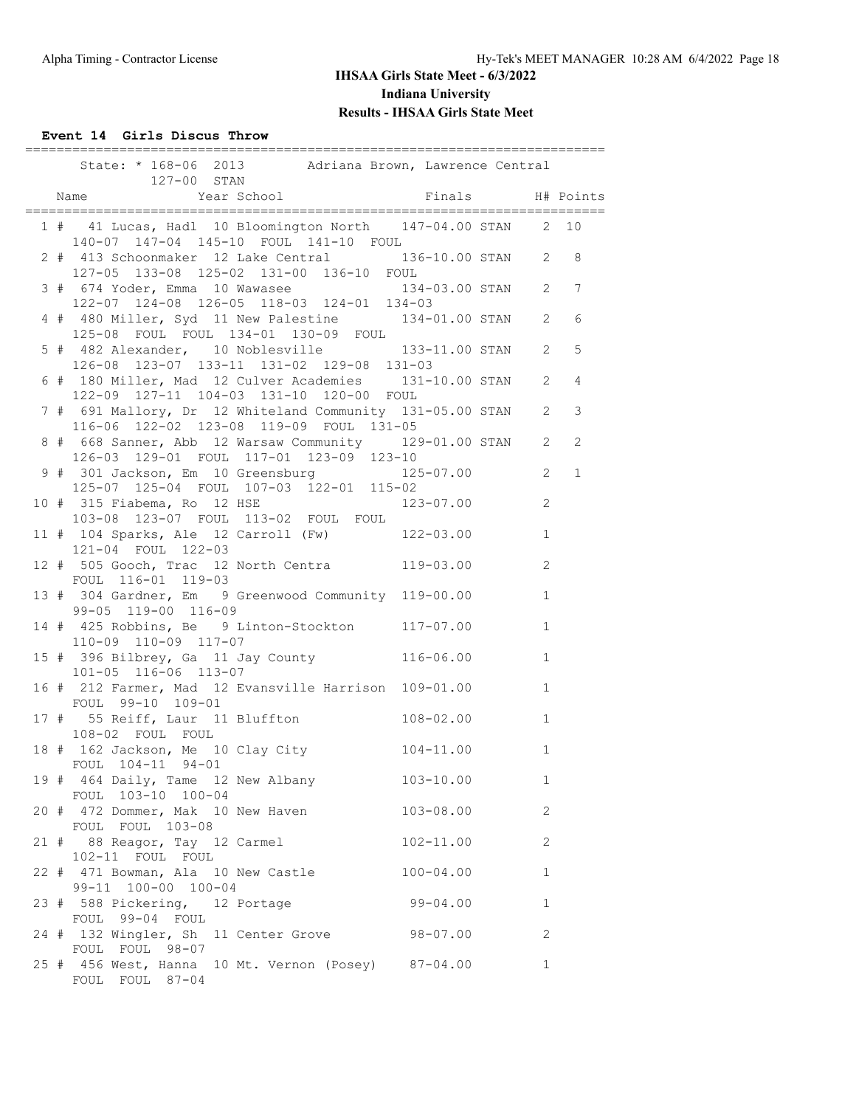### **Event 14 Girls Discus Throw**

|  | ================<br>State: * 168-06 2013 Adriana Brown, Lawrence Central<br>127-00 STAN                |                    |                |              |
|--|--------------------------------------------------------------------------------------------------------|--------------------|----------------|--------------|
|  | Name Year School                                                                                       |                    |                |              |
|  | 1 # 41 Lucas, Hadl 10 Bloomington North 147-04.00 STAN 2 10<br>140-07 147-04 145-10 FOUL 141-10 FOUL   |                    |                |              |
|  | 2 # 413 Schoonmaker 12 Lake Central 136-10.00 STAN 2 8<br>127-05 133-08 125-02 131-00 136-10 FOUL      |                    |                |              |
|  | 3 # 674 Yoder, Emma 10 Wawasee<br>122-07 124-08 126-05 118-03 124-01 134-03                            | 134-03.00 STAN 2 7 |                |              |
|  | 4 # 480 Miller, Syd 11 New Palestine 134-01.00 STAN 2<br>125-08 FOUL FOUL 134-01 130-09 FOUL           |                    |                | 6            |
|  | 5 # 482 Alexander, 10 Noblesville 133-11.00 STAN<br>126-08 123-07 133-11 131-02 129-08 131-03          |                    | $\mathbf{2}$   | 5            |
|  | 6 # 180 Miller, Mad 12 Culver Academies 131-10.00 STAN<br>122-09 127-11 104-03 131-10 120-00 FOUL      |                    | 2              | 4            |
|  | 7 # 691 Mallory, Dr 12 Whiteland Community 131-05.00 STAN 2<br>116-06 122-02 123-08 119-09 FOUL 131-05 |                    |                | $\mathsf 3$  |
|  | 8 # 668 Sanner, Abb 12 Warsaw Community 129-01.00 STAN 2<br>126-03 129-01 FOUL 117-01 123-09 123-10    |                    |                | 2            |
|  | 9 # 301 Jackson, Em 10 Greensburg 125-07.00 2<br>125-07 125-04 FOUL 107-03 122-01 115-02               |                    |                | $\mathbf{1}$ |
|  | 10 # 315 Fiabema, Ro 12 HSE<br>103-08 123-07 FOUL 113-02 FOUL FOUL                                     | $123 - 07.00$      | 2              |              |
|  | 11 # 104 Sparks, Ale 12 Carroll (Fw) 122-03.00<br>121-04 FOUL 122-03                                   |                    | $\mathbf{1}$   |              |
|  | 12 # 505 Gooch, Trac 12 North Centra 119-03.00<br>FOUL 116-01 119-03                                   |                    | $\overline{c}$ |              |
|  | 13 # 304 Gardner, Em 9 Greenwood Community 119-00.00<br>99-05 119-00 116-09                            |                    | $\mathbf{1}$   |              |
|  | 14 # 425 Robbins, Be 9 Linton-Stockton 117-07.00<br>110-09 110-09 117-07                               |                    | $\mathbf{1}$   |              |
|  | 15 # 396 Bilbrey, Ga 11 Jay County 116-06.00<br>101-05 116-06 113-07                                   |                    | $\mathbf{1}$   |              |
|  | 16 # 212 Farmer, Mad 12 Evansville Harrison 109-01.00<br>FOUL 99-10 109-01                             |                    | $\mathbf{1}$   |              |
|  | 17 # 55 Reiff, Laur 11 Bluffton 108-02.00<br>108-02 FOUL FOUL                                          |                    | $\mathbf{1}$   |              |
|  | 18 # 162 Jackson, Me 10 Clay City 104-11.00<br>FOUL 104-11 94-01                                       |                    | 1              |              |
|  | 19 # 464 Daily, Tame 12 New Albany<br>FOUL 103-10 100-04                                               | 103-10.00          | $\mathbf{1}$   |              |
|  | 20 # 472 Dommer, Mak 10 New Haven<br>FOUL FOUL 103-08                                                  | $103 - 08.00$      | 2              |              |
|  | 21 # 88 Reagor, Tay 12 Carmel<br>102-11 FOUL FOUL                                                      | $102 - 11.00$      | 2              |              |
|  | 22 # 471 Bowman, Ala 10 New Castle<br>99-11 100-00 100-04                                              | $100 - 04.00$      | $\mathbf{1}$   |              |
|  | 23 # 588 Pickering, 12 Portage<br>FOUL 99-04 FOUL                                                      | $99 - 04.00$       | $\mathbf{1}$   |              |
|  | 24 # 132 Wingler, Sh 11 Center Grove 98-07.00<br>FOUL FOUL 98-07                                       |                    | $\mathbf{2}$   |              |
|  | 25 # 456 West, Hanna 10 Mt. Vernon (Posey) 87-04.00<br>FOUL FOUL 87-04                                 |                    | $\mathbf 1$    |              |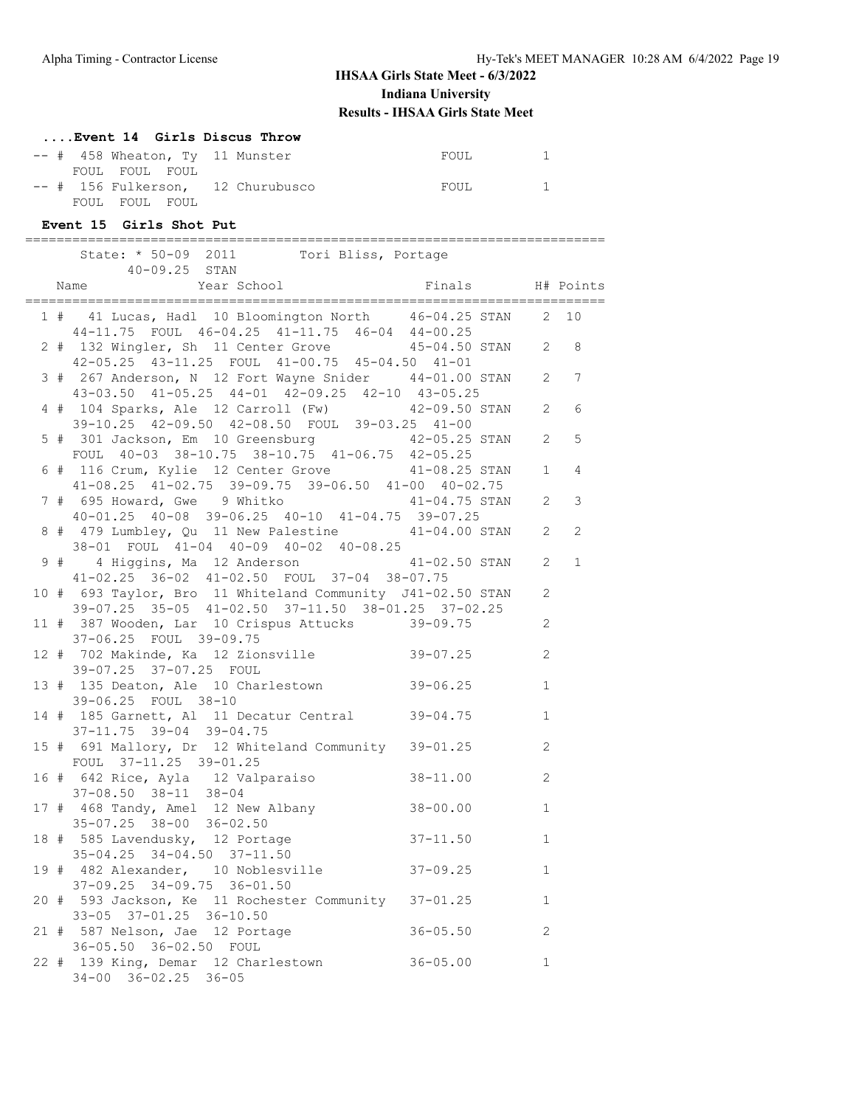### **....Event 14 Girls Discus Throw**

|  |                |  | $--$ # 458 Wheaton, Ty 11 Munster | FOUL  |  |
|--|----------------|--|-----------------------------------|-------|--|
|  | FOUL FOUL FOUL |  |                                   |       |  |
|  |                |  | -- # 156 Fulkerson, 12 Churubusco | FOUL. |  |
|  | FOUL FOUL FOUL |  |                                   |       |  |

#### **Event 15 Girls Shot Put**

|  | State: * 50-09 2011 Tori Bliss, Portage<br>$40 - 09.25$ STAN                                                                                           |                |                |
|--|--------------------------------------------------------------------------------------------------------------------------------------------------------|----------------|----------------|
|  | Year School<br>Finals H# Points<br>Name                                                                                                                |                |                |
|  | 1 # 41 Lucas, Hadl 10 Bloomington North 46-04.25 STAN 2 10<br>44-11.75 FOUL 46-04.25 41-11.75 46-04 44-00.25                                           |                |                |
|  | 2 # 132 Wingler, Sh 11 Center Grove 45-04.50 STAN 2 8<br>42-05.25 43-11.25 FOUL 41-00.75 45-04.50 41-01                                                |                |                |
|  | 3 # 267 Anderson, N 12 Fort Wayne Snider 44-01.00 STAN 2 7                                                                                             |                |                |
|  | 43-03.50 41-05.25 44-01 42-09.25 42-10 43-05.25<br>4 # 104 Sparks, Ale 12 Carroll (Fw) 42-09.50 STAN<br>39-10.25 42-09.50 42-08.50 FOUL 39-03.25 41-00 | $\overline{2}$ | 6              |
|  | 5 # 301 Jackson, Em 10 Greensburg 42-05.25 STAN<br>FOUL 40-03 38-10.75 38-10.75 41-06.75 42-05.25                                                      | 2              | 5              |
|  | 6 # 116 Crum, Kylie 12 Center Grove 41-08.25 STAN<br>41-08.25 41-02.75 39-09.75 39-06.50 41-00 40-02.75                                                | $\mathbf{1}$   | 4              |
|  | 7 # 695 Howard, Gwe 9 Whitko 41-04.75 STAN<br>40-01.25 40-08 39-06.25 40-10 41-04.75 39-07.25                                                          | 2              | $\mathsf 3$    |
|  | 8 # 479 Lumbley, Qu 11 New Palestine 41-04.00 STAN 2<br>38-01 FOUL 41-04 40-09 40-02 40-08.25                                                          |                | $\overline{c}$ |
|  | 9 # 4 Higgins, Ma 12 Anderson 41-02.50 STAN<br>41-02.25 36-02 41-02.50 FOUL 37-04 38-07.75                                                             | 2              | $\mathbf{1}$   |
|  | 10 # 693 Taylor, Bro 11 Whiteland Community J41-02.50 STAN<br>39-07.25 35-05 41-02.50 37-11.50 38-01.25 37-02.25                                       | 2              |                |
|  | 11 # 387 Wooden, Lar 10 Crispus Attucks 39-09.75<br>37-06.25 FOUL 39-09.75                                                                             | 2              |                |
|  | 12 # 702 Makinde, Ka 12 Zionsville 39-07.25<br>39-07.25 37-07.25 FOUL                                                                                  | 2              |                |
|  | 13 # 135 Deaton, Ale 10 Charlestown 39-06.25<br>39-06.25 FOUL 38-10                                                                                    | $\mathbf{1}$   |                |
|  | 14 # 185 Garnett, Al 11 Decatur Central 39-04.75<br>37-11.75 39-04 39-04.75                                                                            | $\mathbf{1}$   |                |
|  | 15 # 691 Mallory, Dr 12 Whiteland Community 39-01.25<br>FOUL 37-11.25 39-01.25                                                                         | 2              |                |
|  | 16 # 642 Rice, Ayla 12 Valparaiso 38-11.00<br>$37-08.50$ $38-11$ $38-04$                                                                               | 2              |                |
|  | $38 - 00.00$<br>17 # 468 Tandy, Amel 12 New Albany<br>35-07.25 38-00 36-02.50                                                                          | $\mathbf{1}$   |                |
|  | 18 # 585 Lavendusky, 12 Portage<br>$37 - 11.50$<br>35-04.25 34-04.50 37-11.50                                                                          | $\mathbf{1}$   |                |
|  | 19 # 482 Alexander, 10 Noblesville<br>$37 - 09.25$<br>37-09.25 34-09.75 36-01.50                                                                       | 1              |                |
|  | 20 # 593 Jackson, Ke 11 Rochester Community 37-01.25<br>33-05 37-01.25 36-10.50                                                                        | $\mathbf{1}$   |                |
|  | 21 # 587 Nelson, Jae 12 Portage<br>$36 - 05.50$<br>36-05.50 36-02.50 FOUL                                                                              | 2              |                |
|  | 22 # 139 King, Demar 12 Charlestown<br>$36 - 05.00$<br>34-00 36-02.25 36-05                                                                            | 1              |                |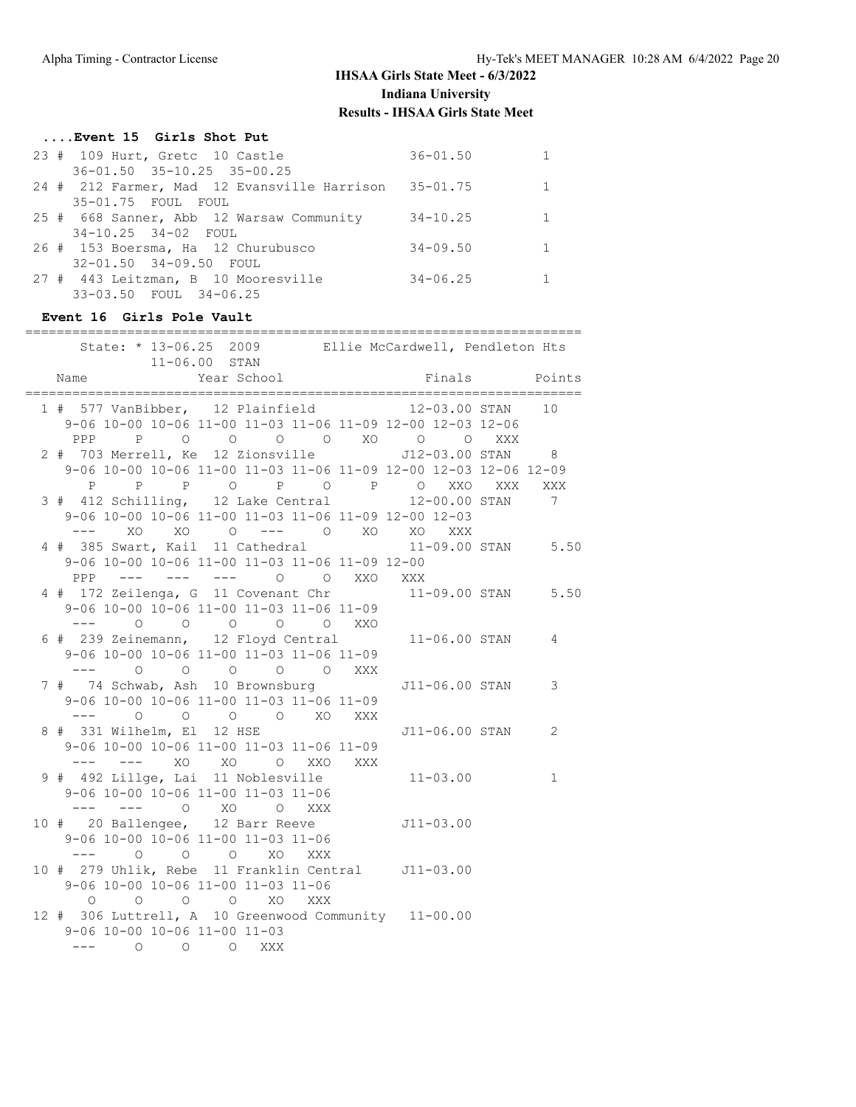### **....Event 15 Girls Shot Put**

| 23 # 109 Hurt, Gretc 10 Castle                       | $36 - 01.50$ |              |
|------------------------------------------------------|--------------|--------------|
| $36 - 01.50$ $35 - 10.25$ $35 - 00.25$               |              |              |
| 24 # 212 Farmer, Mad 12 Evansville Harrison 35-01.75 |              | $\mathbf{1}$ |
| 35-01.75 FOUL FOUL                                   |              |              |
| 25 # 668 Sanner, Abb 12 Warsaw Community             | $34 - 10.25$ | $\mathbf{1}$ |
| 34-10.25 34-02 FOUL                                  |              |              |
| 26 # 153 Boersma, Ha 12 Churubusco                   | $34 - 09.50$ | 1            |
| 32-01.50 34-09.50 FOUL                               |              |              |
| 27 # 443 Leitzman, B 10 Mooresville                  | $34 - 06.25$ |              |
| 33-03.50 FOUL 34-06.25                               |              |              |

#### **Event 16 Girls Pole Vault**

| State: * 13-06.25 2009 Ellie McCardwell, Pendleton Hts                                                                                                                                                                                                                                                                                                                                       |                         |             |  |                          |        |                |                    |
|----------------------------------------------------------------------------------------------------------------------------------------------------------------------------------------------------------------------------------------------------------------------------------------------------------------------------------------------------------------------------------------------|-------------------------|-------------|--|--------------------------|--------|----------------|--------------------|
|                                                                                                                                                                                                                                                                                                                                                                                              | $11 - 06.00$ STAN       |             |  |                          |        |                |                    |
| Name                                                                                                                                                                                                                                                                                                                                                                                         |                         | Year School |  |                          | Finals |                | Points             |
| 1 # 577 VanBibber, 12 Plainfield 12-03.00 STAN                                                                                                                                                                                                                                                                                                                                               | =====================   |             |  | ======================== |        |                | 10                 |
| 9-06 10-00 10-06 11-00 11-03 11-06 11-09 12-00 12-03 12-06                                                                                                                                                                                                                                                                                                                                   |                         |             |  |                          |        |                |                    |
| PPP P O O O O XO O O                                                                                                                                                                                                                                                                                                                                                                         |                         |             |  |                          |        | XXX            |                    |
| 2 # 703 Merrell, Ke 12 Zionsville 512-03.00 STAN 8                                                                                                                                                                                                                                                                                                                                           |                         |             |  |                          |        |                |                    |
| 9-06 10-00 10-06 11-00 11-03 11-06 11-09 12-00 12-03 12-06 12-09                                                                                                                                                                                                                                                                                                                             |                         |             |  |                          |        |                |                    |
|                                                                                                                                                                                                                                                                                                                                                                                              |                         |             |  |                          |        |                | XXX                |
| P P P O P O P O XXO XXX<br>112 Schilling, 12 Lake Central 12-00.00 STAN<br>3 # 412 Schilling, 12 Lake Central                                                                                                                                                                                                                                                                                |                         |             |  |                          |        |                | $\overline{7}$     |
| 9-06 10-00 10-06 11-00 11-03 11-06 11-09 12-00 12-03                                                                                                                                                                                                                                                                                                                                         |                         |             |  |                          |        |                |                    |
| $\frac{1}{2} \frac{1}{2} \frac{1}{2} \frac{1}{2} \frac{1}{2} \frac{1}{2} \frac{1}{2} \frac{1}{2} \frac{1}{2} \frac{1}{2} \frac{1}{2} \frac{1}{2} \frac{1}{2} \frac{1}{2} \frac{1}{2} \frac{1}{2} \frac{1}{2} \frac{1}{2} \frac{1}{2} \frac{1}{2} \frac{1}{2} \frac{1}{2} \frac{1}{2} \frac{1}{2} \frac{1}{2} \frac{1}{2} \frac{1}{2} \frac{1}{2} \frac{1}{2} \frac{1}{2} \frac{1}{2} \frac{$ | XO XO O --- O XO XO XXX |             |  |                          |        |                |                    |
| 4 # 385 Swart, Kail 11 Cathedral 11-09.00 STAN 5.50                                                                                                                                                                                                                                                                                                                                          |                         |             |  |                          |        |                |                    |
| 9-06 10-00 10-06 11-00 11-03 11-06 11-09 12-00                                                                                                                                                                                                                                                                                                                                               |                         |             |  |                          |        |                |                    |
| PPP --- --- --- 0 0 XXO XXX                                                                                                                                                                                                                                                                                                                                                                  |                         |             |  |                          |        |                |                    |
| 4 # 172 Zeilenga, G 11 Covenant Chr                                                                                                                                                                                                                                                                                                                                                          |                         |             |  |                          |        |                | 11-09.00 STAN 5.50 |
| 9-06 10-00 10-06 11-00 11-03 11-06 11-09                                                                                                                                                                                                                                                                                                                                                     |                         |             |  |                          |        |                |                    |
| $---$ 0 0 0 0 0 XXO                                                                                                                                                                                                                                                                                                                                                                          |                         |             |  |                          |        |                |                    |
| 6 # 239 Zeinemann, 12 Floyd Central                                                                                                                                                                                                                                                                                                                                                          |                         |             |  |                          |        | 11-06.00 STAN  | 4                  |
| 9-06 10-00 10-06 11-00 11-03 11-06 11-09                                                                                                                                                                                                                                                                                                                                                     |                         |             |  |                          |        |                |                    |
| --- 0 0 0 0 0 XXX                                                                                                                                                                                                                                                                                                                                                                            |                         |             |  |                          |        |                |                    |
| 7 # 74 Schwab, Ash 10 Brownsburg                                                                                                                                                                                                                                                                                                                                                             |                         |             |  |                          |        | J11-06.00 STAN | 3                  |
| 9-06 10-00 10-06 11-00 11-03 11-06 11-09                                                                                                                                                                                                                                                                                                                                                     |                         |             |  |                          |        |                |                    |
| --- 0 0 0 0 XO XXX                                                                                                                                                                                                                                                                                                                                                                           |                         |             |  |                          |        |                |                    |
| 8 # 331 Wilhelm, El 12 HSE                                                                                                                                                                                                                                                                                                                                                                   |                         |             |  |                          |        | J11-06.00 STAN | 2                  |
| 9-06 10-00 10-06 11-00 11-03 11-06 11-09                                                                                                                                                                                                                                                                                                                                                     |                         |             |  |                          |        |                |                    |
| --- --- XO XO O XXO XXX                                                                                                                                                                                                                                                                                                                                                                      |                         |             |  |                          |        |                |                    |
| 9 # 492 Lillge, Lai 11 Noblesville                                                                                                                                                                                                                                                                                                                                                           |                         |             |  | $11 - 03.00$             |        |                | $\mathbf{1}$       |
| 9-06 10-00 10-06 11-00 11-03 11-06                                                                                                                                                                                                                                                                                                                                                           |                         |             |  |                          |        |                |                    |
| --- --- 0 XO 0 XXX                                                                                                                                                                                                                                                                                                                                                                           |                         |             |  |                          |        |                |                    |
| 10 # 20 Ballengee, 12 Barr Reeve 511-03.00                                                                                                                                                                                                                                                                                                                                                   |                         |             |  |                          |        |                |                    |
| 9-06 10-00 10-06 11-00 11-03 11-06                                                                                                                                                                                                                                                                                                                                                           |                         |             |  |                          |        |                |                    |
| --- 0 0 0 XO XXX                                                                                                                                                                                                                                                                                                                                                                             |                         |             |  |                          |        |                |                    |
| 10 # 279 Uhlik, Rebe 11 Franklin Central J11-03.00                                                                                                                                                                                                                                                                                                                                           |                         |             |  |                          |        |                |                    |
| 9-06 10-00 10-06 11-00 11-03 11-06                                                                                                                                                                                                                                                                                                                                                           |                         |             |  |                          |        |                |                    |
| O O O O XO XXX                                                                                                                                                                                                                                                                                                                                                                               |                         |             |  |                          |        |                |                    |
| 12 # 306 Luttrell, A 10 Greenwood Community 11-00.00                                                                                                                                                                                                                                                                                                                                         |                         |             |  |                          |        |                |                    |
| 9-06 10-00 10-06 11-00 11-03                                                                                                                                                                                                                                                                                                                                                                 |                         |             |  |                          |        |                |                    |
| --- 0 0 0 XXX                                                                                                                                                                                                                                                                                                                                                                                |                         |             |  |                          |        |                |                    |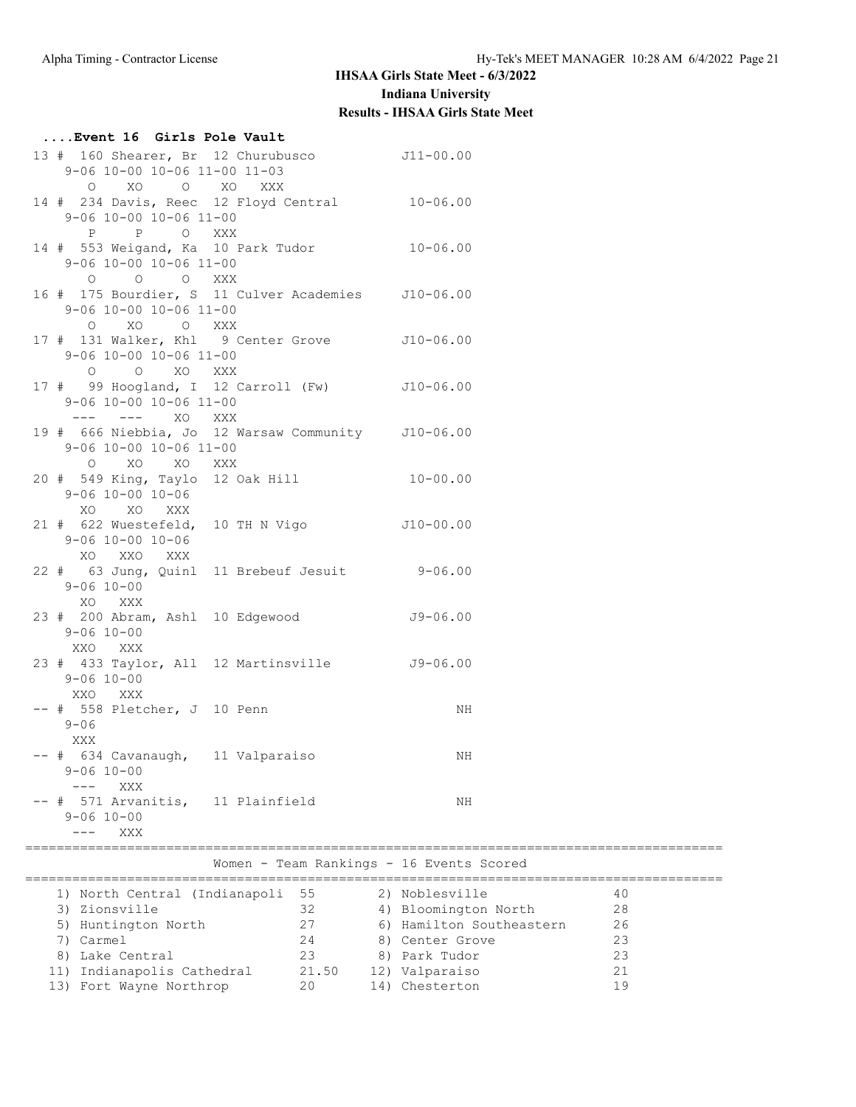# **....Event 16 Girls Pole Vault**

| O XO O XO XXX<br>14 # 234 Davis, Reec 12 Floyd Central 10-06.00<br>9-06 10-00 10-06 11-00<br>P O XXX<br>$\mathbf P$<br>14 # 553 Weigand, Ka 10 Park Tudor 10-06.00<br>9-06 10-00 10-06 11-00<br>0 0 0 XXX<br>16 # 175 Bourdier, S 11 Culver Academies J10-06.00<br>9-06 10-00 10-06 11-00<br>O XO O XXX<br>17 # 131 Walker, Khl 9 Center Grove 510-06.00<br>$9-06$ 10-00 10-06 11-00<br>O O XO XXX<br>17 # 99 Hoogland, I 12 Carroll (Fw) J10-06.00<br>9-06 10-00 10-06 11-00<br>--- --- XO XXX<br>19 # 666 Niebbia, Jo 12 Warsaw Community J10-06.00<br>9-06 10-00 10-06 11-00<br>O XO XO XXX<br>20 # 549 King, Taylo 12 Oak Hill 10-00.00<br>$9 - 06$ 10-00 10-06<br>XO XO XXX<br>21 # 622 Wuestefeld, 10 TH N Vigo J10-00.00<br>$9 - 06$ 10-00 10-06<br>XO XXO XXX<br>22 # 63 Jung, Quinl 11 Brebeuf Jesuit 9-06.00<br>$9 - 06$ 10-00<br>XO XXX |  |
|----------------------------------------------------------------------------------------------------------------------------------------------------------------------------------------------------------------------------------------------------------------------------------------------------------------------------------------------------------------------------------------------------------------------------------------------------------------------------------------------------------------------------------------------------------------------------------------------------------------------------------------------------------------------------------------------------------------------------------------------------------------------------------------------------------------------------------------------------|--|
|                                                                                                                                                                                                                                                                                                                                                                                                                                                                                                                                                                                                                                                                                                                                                                                                                                                    |  |
|                                                                                                                                                                                                                                                                                                                                                                                                                                                                                                                                                                                                                                                                                                                                                                                                                                                    |  |
|                                                                                                                                                                                                                                                                                                                                                                                                                                                                                                                                                                                                                                                                                                                                                                                                                                                    |  |
|                                                                                                                                                                                                                                                                                                                                                                                                                                                                                                                                                                                                                                                                                                                                                                                                                                                    |  |
|                                                                                                                                                                                                                                                                                                                                                                                                                                                                                                                                                                                                                                                                                                                                                                                                                                                    |  |
|                                                                                                                                                                                                                                                                                                                                                                                                                                                                                                                                                                                                                                                                                                                                                                                                                                                    |  |
|                                                                                                                                                                                                                                                                                                                                                                                                                                                                                                                                                                                                                                                                                                                                                                                                                                                    |  |
|                                                                                                                                                                                                                                                                                                                                                                                                                                                                                                                                                                                                                                                                                                                                                                                                                                                    |  |
|                                                                                                                                                                                                                                                                                                                                                                                                                                                                                                                                                                                                                                                                                                                                                                                                                                                    |  |
| 23 # 200 Abram, Ashl 10 Edgewood 59-06.00<br>$9 - 06$ 10-00<br>XXO XXX                                                                                                                                                                                                                                                                                                                                                                                                                                                                                                                                                                                                                                                                                                                                                                             |  |
| 23 # 433 Taylor, All 12 Martinsville 59-06.00<br>$9 - 06$ 10-00<br>XXO<br>XXX                                                                                                                                                                                                                                                                                                                                                                                                                                                                                                                                                                                                                                                                                                                                                                      |  |
| $--$ # 558 Pletcher, J 10 Penn<br>NH<br>$9 - 06$<br>XXX                                                                                                                                                                                                                                                                                                                                                                                                                                                                                                                                                                                                                                                                                                                                                                                            |  |
| -- # 634 Cavanaugh, 11 Valparaiso<br>ΝH<br>$9 - 06$ 10-00<br>XXX<br>$---$                                                                                                                                                                                                                                                                                                                                                                                                                                                                                                                                                                                                                                                                                                                                                                          |  |
| -- # 571 Arvanitis, 11 Plainfield<br>ΝH<br>$9 - 06$ 10-00<br>XXX                                                                                                                                                                                                                                                                                                                                                                                                                                                                                                                                                                                                                                                                                                                                                                                   |  |
| ===================================<br>Women - Team Rankings - 16 Events Scored                                                                                                                                                                                                                                                                                                                                                                                                                                                                                                                                                                                                                                                                                                                                                                    |  |
| ========================<br>==============================<br>1) North Central (Indianapoli 55<br>2) Noblesville<br>40                                                                                                                                                                                                                                                                                                                                                                                                                                                                                                                                                                                                                                                                                                                             |  |

| 1) North Central (Indianapoli 55 |       | 2) Noblesville           | 40  |
|----------------------------------|-------|--------------------------|-----|
| 3) Zionsville                    | 32    | 4) Bloomington North     | 28  |
| 5) Huntington North              | 27    | 6) Hamilton Southeastern | 26  |
| 7) Carmel                        | 24    | 8) Center Grove          | 23  |
| 8) Lake Central                  | 23    | 8) Park Tudor            | 23  |
| 11) Indianapolis Cathedral       | 21.50 | 12) Valparaiso           |     |
| 13) Fort Wayne Northrop          | 20    | 14) Chesterton           | 1 9 |